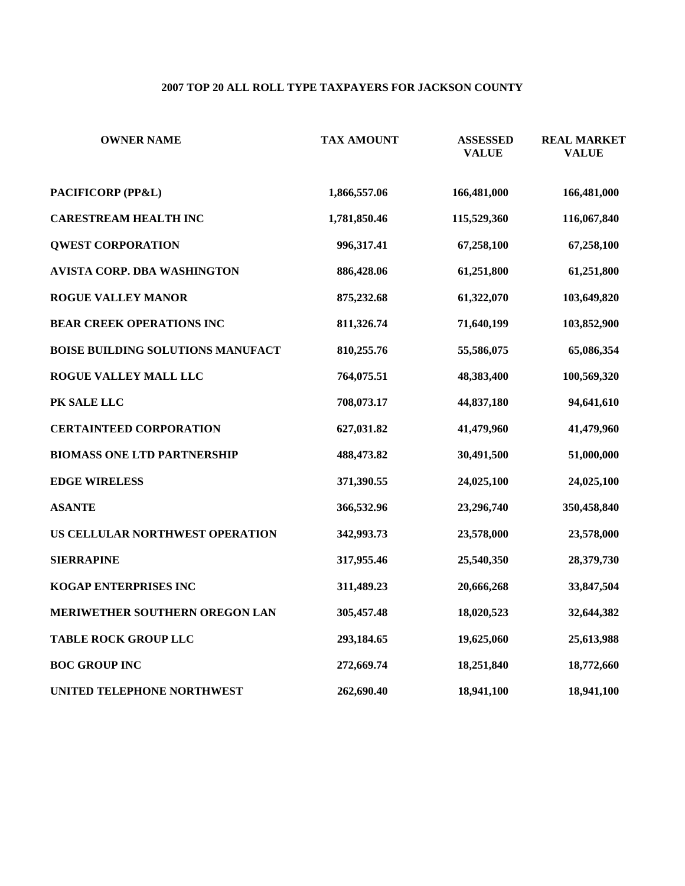# **2007 TOP 20 ALL ROLL TYPE TAXPAYERS FOR JACKSON COUNTY**

| <b>OWNER NAME</b>                        | <b>TAX AMOUNT</b> | <b>ASSESSED</b><br><b>VALUE</b> | <b>REAL MARKET</b><br><b>VALUE</b> |
|------------------------------------------|-------------------|---------------------------------|------------------------------------|
| PACIFICORP (PP&L)                        | 1,866,557.06      | 166,481,000                     | 166,481,000                        |
| <b>CARESTREAM HEALTH INC</b>             | 1,781,850.46      | 115,529,360                     | 116,067,840                        |
| <b>QWEST CORPORATION</b>                 | 996,317.41        | 67,258,100                      | 67,258,100                         |
| <b>AVISTA CORP. DBA WASHINGTON</b>       | 886,428.06        | 61,251,800                      | 61,251,800                         |
| <b>ROGUE VALLEY MANOR</b>                | 875,232.68        | 61,322,070                      | 103,649,820                        |
| <b>BEAR CREEK OPERATIONS INC</b>         | 811,326.74        | 71,640,199                      | 103,852,900                        |
| <b>BOISE BUILDING SOLUTIONS MANUFACT</b> | 810,255.76        | 55,586,075                      | 65,086,354                         |
| ROGUE VALLEY MALL LLC                    | 764,075.51        | 48,383,400                      | 100,569,320                        |
| PK SALE LLC                              | 708,073.17        | 44,837,180                      | 94,641,610                         |
| <b>CERTAINTEED CORPORATION</b>           | 627,031.82        | 41,479,960                      | 41,479,960                         |
| <b>BIOMASS ONE LTD PARTNERSHIP</b>       | 488,473.82        | 30,491,500                      | 51,000,000                         |
| <b>EDGE WIRELESS</b>                     | 371,390.55        | 24,025,100                      | 24,025,100                         |
| <b>ASANTE</b>                            | 366,532.96        | 23,296,740                      | 350,458,840                        |
| US CELLULAR NORTHWEST OPERATION          | 342,993.73        | 23,578,000                      | 23,578,000                         |
| <b>SIERRAPINE</b>                        | 317,955.46        | 25,540,350                      | 28,379,730                         |
| KOGAP ENTERPRISES INC                    | 311,489.23        | 20,666,268                      | 33,847,504                         |
| MERIWETHER SOUTHERN OREGON LAN           | 305,457.48        | 18,020,523                      | 32,644,382                         |
| <b>TABLE ROCK GROUP LLC</b>              | 293,184.65        | 19,625,060                      | 25,613,988                         |
| <b>BOC GROUP INC</b>                     | 272,669.74        | 18,251,840                      | 18,772,660                         |
| UNITED TELEPHONE NORTHWEST               | 262,690.40        | 18,941,100                      | 18,941,100                         |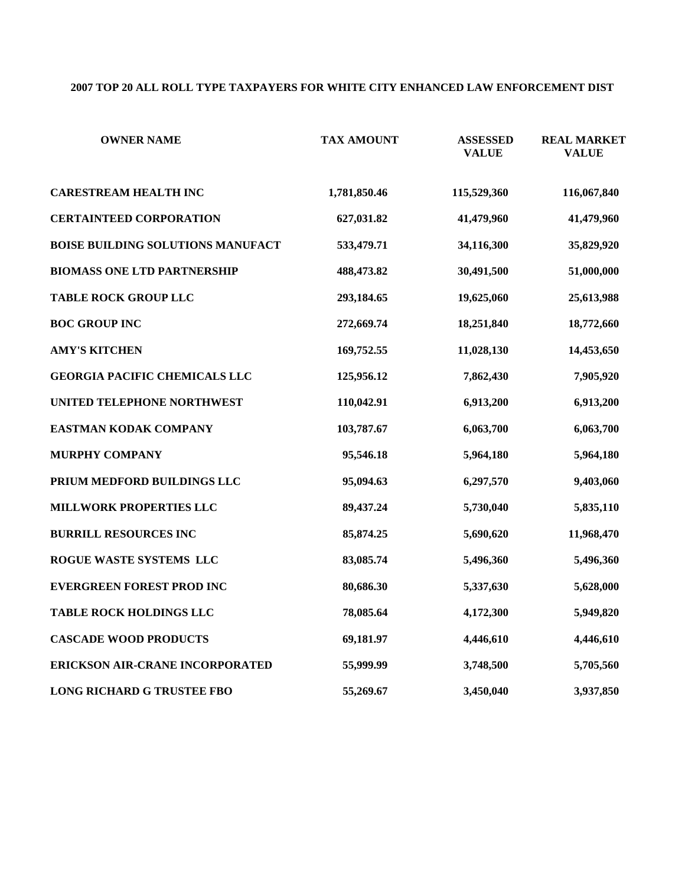# **2007 TOP 20 ALL ROLL TYPE TAXPAYERS FOR WHITE CITY ENHANCED LAW ENFORCEMENT DIST**

| <b>OWNER NAME</b>                        | <b>TAX AMOUNT</b> | <b>ASSESSED</b><br><b>VALUE</b> | <b>REAL MARKET</b><br><b>VALUE</b> |
|------------------------------------------|-------------------|---------------------------------|------------------------------------|
| <b>CARESTREAM HEALTH INC</b>             | 1,781,850.46      | 115,529,360                     | 116,067,840                        |
| <b>CERTAINTEED CORPORATION</b>           | 627,031.82        | 41,479,960                      | 41,479,960                         |
| <b>BOISE BUILDING SOLUTIONS MANUFACT</b> | 533,479.71        | 34,116,300                      | 35,829,920                         |
| <b>BIOMASS ONE LTD PARTNERSHIP</b>       | 488,473.82        | 30,491,500                      | 51,000,000                         |
| <b>TABLE ROCK GROUP LLC</b>              | 293,184.65        | 19,625,060                      | 25,613,988                         |
| <b>BOC GROUP INC</b>                     | 272,669.74        | 18,251,840                      | 18,772,660                         |
| <b>AMY'S KITCHEN</b>                     | 169,752.55        | 11,028,130                      | 14,453,650                         |
| <b>GEORGIA PACIFIC CHEMICALS LLC</b>     | 125,956.12        | 7,862,430                       | 7,905,920                          |
| UNITED TELEPHONE NORTHWEST               | 110,042.91        | 6,913,200                       | 6,913,200                          |
| EASTMAN KODAK COMPANY                    | 103,787.67        | 6,063,700                       | 6,063,700                          |
| <b>MURPHY COMPANY</b>                    | 95,546.18         | 5,964,180                       | 5,964,180                          |
| PRIUM MEDFORD BUILDINGS LLC              | 95,094.63         | 6,297,570                       | 9,403,060                          |
| <b>MILLWORK PROPERTIES LLC</b>           | 89,437.24         | 5,730,040                       | 5,835,110                          |
| <b>BURRILL RESOURCES INC</b>             | 85,874.25         | 5,690,620                       | 11,968,470                         |
| ROGUE WASTE SYSTEMS LLC                  | 83,085.74         | 5,496,360                       | 5,496,360                          |
| <b>EVERGREEN FOREST PROD INC</b>         | 80,686.30         | 5,337,630                       | 5,628,000                          |
| <b>TABLE ROCK HOLDINGS LLC</b>           | 78,085.64         | 4,172,300                       | 5,949,820                          |
| <b>CASCADE WOOD PRODUCTS</b>             | 69,181.97         | 4,446,610                       | 4,446,610                          |
| ERICKSON AIR-CRANE INCORPORATED          | 55,999.99         | 3,748,500                       | 5,705,560                          |
| <b>LONG RICHARD G TRUSTEE FBO</b>        | 55,269.67         | 3,450,040                       | 3,937,850                          |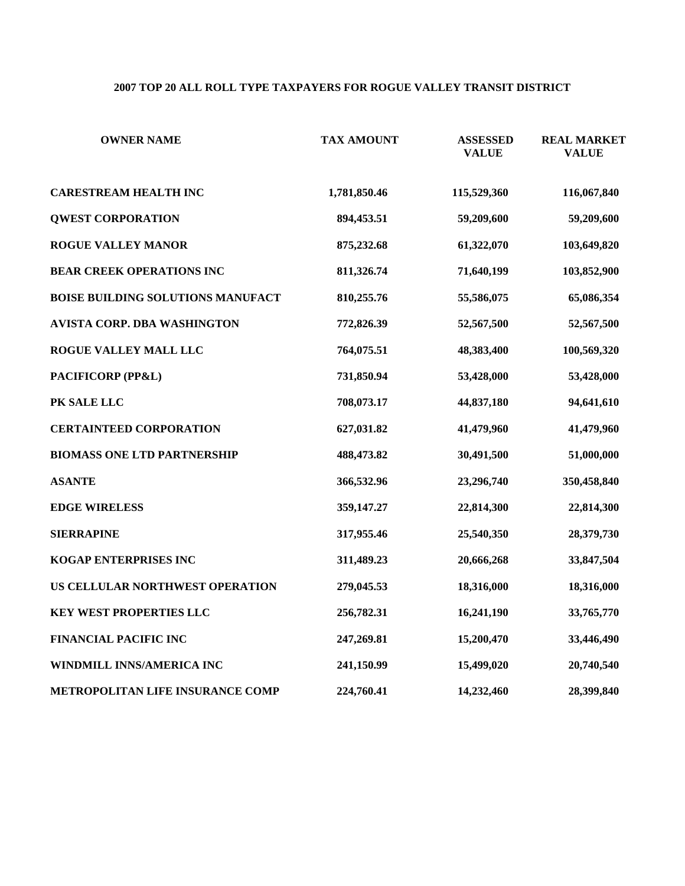# **2007 TOP 20 ALL ROLL TYPE TAXPAYERS FOR ROGUE VALLEY TRANSIT DISTRICT**

| <b>OWNER NAME</b>                        | <b>TAX AMOUNT</b> | <b>ASSESSED</b><br><b>VALUE</b> | <b>REAL MARKET</b><br><b>VALUE</b> |
|------------------------------------------|-------------------|---------------------------------|------------------------------------|
| <b>CARESTREAM HEALTH INC</b>             | 1,781,850.46      | 115,529,360                     | 116,067,840                        |
| <b>QWEST CORPORATION</b>                 | 894,453.51        | 59,209,600                      | 59,209,600                         |
| <b>ROGUE VALLEY MANOR</b>                | 875,232.68        | 61,322,070                      | 103,649,820                        |
| <b>BEAR CREEK OPERATIONS INC</b>         | 811,326.74        | 71,640,199                      | 103,852,900                        |
| <b>BOISE BUILDING SOLUTIONS MANUFACT</b> | 810,255.76        | 55,586,075                      | 65,086,354                         |
| <b>AVISTA CORP. DBA WASHINGTON</b>       | 772,826.39        | 52,567,500                      | 52,567,500                         |
| ROGUE VALLEY MALL LLC                    | 764,075.51        | 48,383,400                      | 100,569,320                        |
| PACIFICORP (PP&L)                        | 731,850.94        | 53,428,000                      | 53,428,000                         |
| PK SALE LLC                              | 708,073.17        | 44,837,180                      | 94,641,610                         |
| <b>CERTAINTEED CORPORATION</b>           | 627,031.82        | 41,479,960                      | 41,479,960                         |
| <b>BIOMASS ONE LTD PARTNERSHIP</b>       | 488,473.82        | 30,491,500                      | 51,000,000                         |
| <b>ASANTE</b>                            | 366,532.96        | 23,296,740                      | 350,458,840                        |
| <b>EDGE WIRELESS</b>                     | 359,147.27        | 22,814,300                      | 22,814,300                         |
| <b>SIERRAPINE</b>                        | 317,955.46        | 25,540,350                      | 28,379,730                         |
| KOGAP ENTERPRISES INC                    | 311,489.23        | 20,666,268                      | 33,847,504                         |
| US CELLULAR NORTHWEST OPERATION          | 279,045.53        | 18,316,000                      | 18,316,000                         |
| <b>KEY WEST PROPERTIES LLC</b>           | 256,782.31        | 16,241,190                      | 33,765,770                         |
| <b>FINANCIAL PACIFIC INC</b>             | 247,269.81        | 15,200,470                      | 33,446,490                         |
| WINDMILL INNS/AMERICA INC                | 241,150.99        | 15,499,020                      | 20,740,540                         |
| METROPOLITAN LIFE INSURANCE COMP         | 224,760.41        | 14,232,460                      | 28,399,840                         |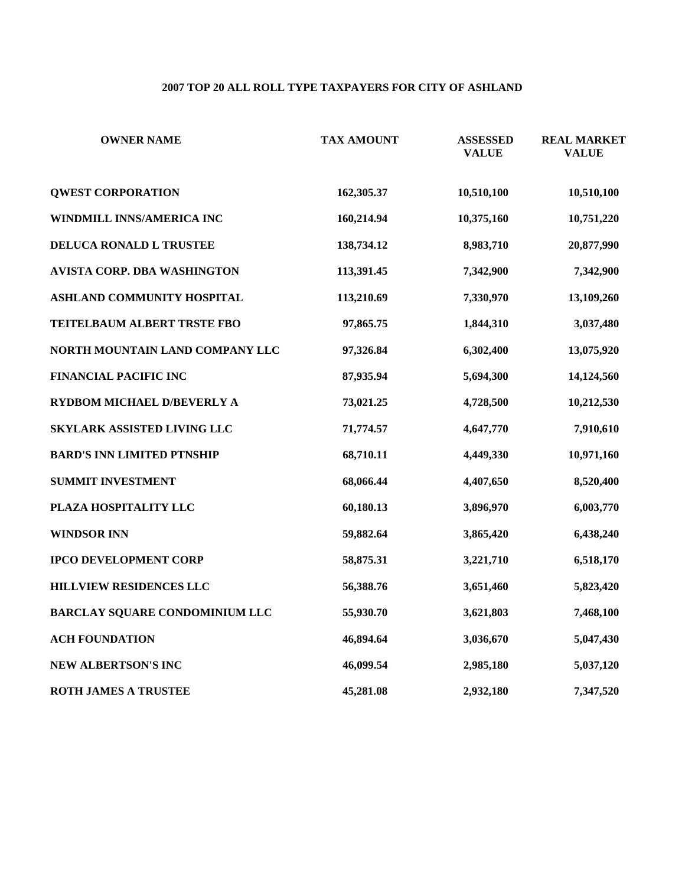# **2007 TOP 20 ALL ROLL TYPE TAXPAYERS FOR CITY OF ASHLAND**

| <b>OWNER NAME</b>                  | <b>TAX AMOUNT</b> | <b>ASSESSED</b><br><b>VALUE</b> | <b>REAL MARKET</b><br><b>VALUE</b> |
|------------------------------------|-------------------|---------------------------------|------------------------------------|
| <b>QWEST CORPORATION</b>           | 162,305.37        | 10,510,100                      | 10,510,100                         |
| WINDMILL INNS/AMERICA INC          | 160,214.94        | 10,375,160                      | 10,751,220                         |
| DELUCA RONALD L TRUSTEE            | 138,734.12        | 8,983,710                       | 20,877,990                         |
| AVISTA CORP. DBA WASHINGTON        | 113,391.45        | 7,342,900                       | 7,342,900                          |
| ASHLAND COMMUNITY HOSPITAL         | 113,210.69        | 7,330,970                       | 13,109,260                         |
| TEITELBAUM ALBERT TRSTE FBO        | 97,865.75         | 1,844,310                       | 3,037,480                          |
| NORTH MOUNTAIN LAND COMPANY LLC    | 97,326.84         | 6,302,400                       | 13,075,920                         |
| <b>FINANCIAL PACIFIC INC</b>       | 87,935.94         | 5,694,300                       | 14,124,560                         |
| RYDBOM MICHAEL D/BEVERLY A         | 73,021.25         | 4,728,500                       | 10,212,530                         |
| <b>SKYLARK ASSISTED LIVING LLC</b> | 71,774.57         | 4,647,770                       | 7,910,610                          |
| <b>BARD'S INN LIMITED PTNSHIP</b>  | 68,710.11         | 4,449,330                       | 10,971,160                         |
| <b>SUMMIT INVESTMENT</b>           | 68,066.44         | 4,407,650                       | 8,520,400                          |
| PLAZA HOSPITALITY LLC              | 60,180.13         | 3,896,970                       | 6,003,770                          |
| <b>WINDSOR INN</b>                 | 59,882.64         | 3,865,420                       | 6,438,240                          |
| <b>IPCO DEVELOPMENT CORP</b>       | 58,875.31         | 3,221,710                       | 6,518,170                          |
| HILLVIEW RESIDENCES LLC            | 56,388.76         | 3,651,460                       | 5,823,420                          |
| BARCLAY SQUARE CONDOMINIUM LLC     | 55,930.70         | 3,621,803                       | 7,468,100                          |
| <b>ACH FOUNDATION</b>              | 46,894.64         | 3,036,670                       | 5,047,430                          |
| <b>NEW ALBERTSON'S INC</b>         | 46,099.54         | 2,985,180                       | 5,037,120                          |
| <b>ROTH JAMES A TRUSTEE</b>        | 45,281.08         | 2,932,180                       | 7,347,520                          |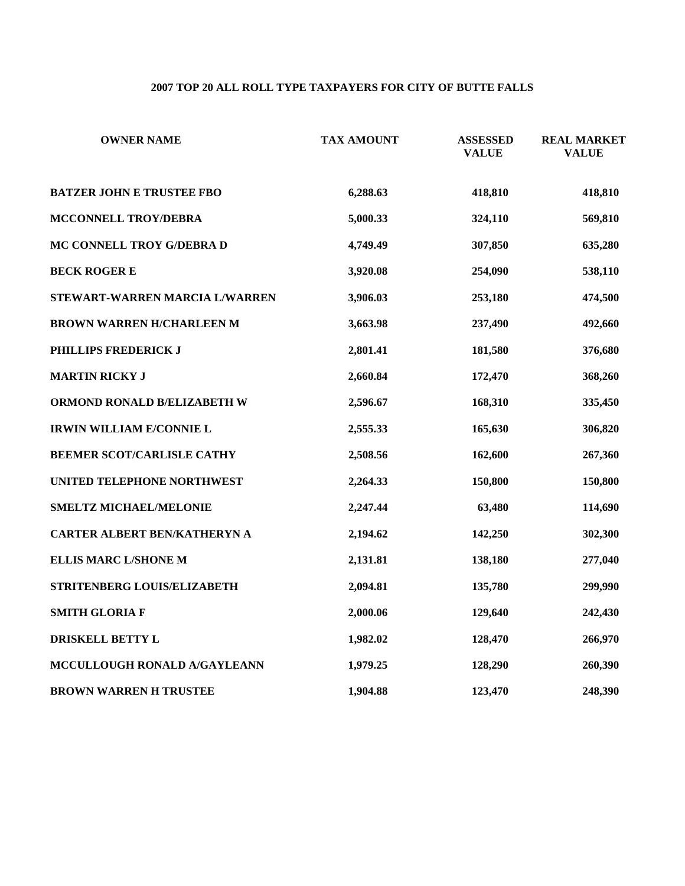# **2007 TOP 20 ALL ROLL TYPE TAXPAYERS FOR CITY OF BUTTE FALLS**

| <b>OWNER NAME</b>                 | <b>TAX AMOUNT</b> | <b>ASSESSED</b><br><b>VALUE</b> | <b>REAL MARKET</b><br><b>VALUE</b> |
|-----------------------------------|-------------------|---------------------------------|------------------------------------|
| <b>BATZER JOHN E TRUSTEE FBO</b>  | 6,288.63          | 418,810                         | 418,810                            |
| MCCONNELL TROY/DEBRA              | 5,000.33          | 324,110                         | 569,810                            |
| MC CONNELL TROY G/DEBRA D         | 4,749.49          | 307,850                         | 635,280                            |
| <b>BECK ROGER E</b>               | 3,920.08          | 254,090                         | 538,110                            |
| STEWART-WARREN MARCIA L/WARREN    | 3,906.03          | 253,180                         | 474,500                            |
| <b>BROWN WARREN H/CHARLEEN M</b>  | 3,663.98          | 237,490                         | 492,660                            |
| PHILLIPS FREDERICK J              | 2,801.41          | 181,580                         | 376,680                            |
| <b>MARTIN RICKY J</b>             | 2,660.84          | 172,470                         | 368,260                            |
| ORMOND RONALD B/ELIZABETH W       | 2,596.67          | 168,310                         | 335,450                            |
| <b>IRWIN WILLIAM E/CONNIE L</b>   | 2,555.33          | 165,630                         | 306,820                            |
| <b>BEEMER SCOT/CARLISLE CATHY</b> | 2,508.56          | 162,600                         | 267,360                            |
| UNITED TELEPHONE NORTHWEST        | 2,264.33          | 150,800                         | 150,800                            |
| <b>SMELTZ MICHAEL/MELONIE</b>     | 2,247.44          | 63,480                          | 114,690                            |
| CARTER ALBERT BEN/KATHERYN A      | 2,194.62          | 142,250                         | 302,300                            |
| <b>ELLIS MARC L/SHONE M</b>       | 2,131.81          | 138,180                         | 277,040                            |
| STRITENBERG LOUIS/ELIZABETH       | 2,094.81          | 135,780                         | 299,990                            |
| <b>SMITH GLORIA F</b>             | 2,000.06          | 129,640                         | 242,430                            |
| DRISKELL BETTY L                  | 1,982.02          | 128,470                         | 266,970                            |
| MCCULLOUGH RONALD A/GAYLEANN      | 1,979.25          | 128,290                         | 260,390                            |
| <b>BROWN WARREN H TRUSTEE</b>     | 1,904.88          | 123,470                         | 248,390                            |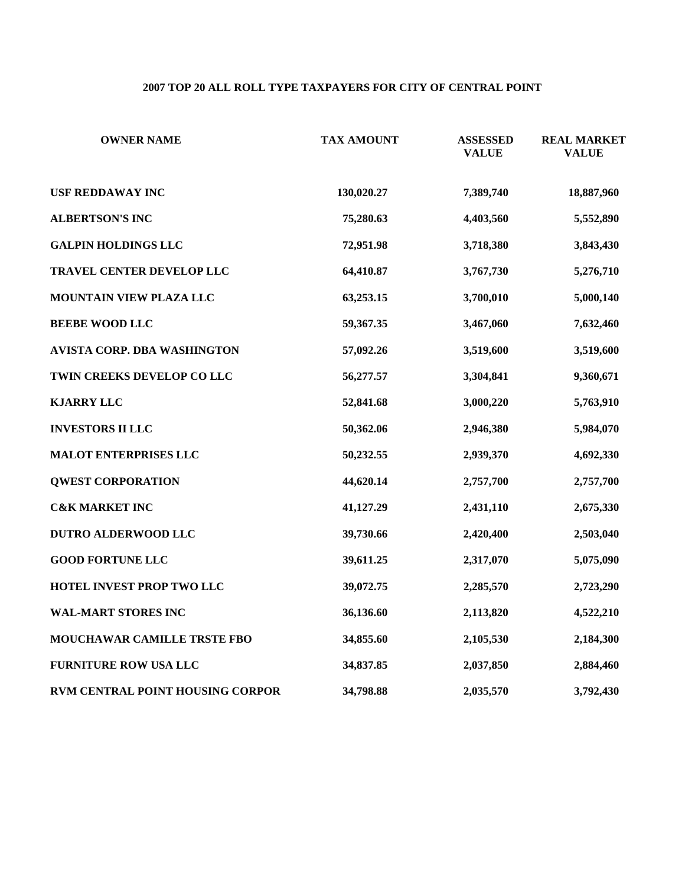# **2007 TOP 20 ALL ROLL TYPE TAXPAYERS FOR CITY OF CENTRAL POINT**

| <b>OWNER NAME</b>                  | <b>TAX AMOUNT</b> | <b>ASSESSED</b><br><b>VALUE</b> | <b>REAL MARKET</b><br><b>VALUE</b> |
|------------------------------------|-------------------|---------------------------------|------------------------------------|
| <b>USF REDDAWAY INC</b>            | 130,020.27        | 7,389,740                       | 18,887,960                         |
| <b>ALBERTSON'S INC</b>             | 75,280.63         | 4,403,560                       | 5,552,890                          |
| <b>GALPIN HOLDINGS LLC</b>         | 72,951.98         | 3,718,380                       | 3,843,430                          |
| TRAVEL CENTER DEVELOP LLC          | 64,410.87         | 3,767,730                       | 5,276,710                          |
| MOUNTAIN VIEW PLAZA LLC            | 63,253.15         | 3,700,010                       | 5,000,140                          |
| <b>BEEBE WOOD LLC</b>              | 59,367.35         | 3,467,060                       | 7,632,460                          |
| AVISTA CORP. DBA WASHINGTON        | 57,092.26         | 3,519,600                       | 3,519,600                          |
| TWIN CREEKS DEVELOP CO LLC         | 56,277.57         | 3,304,841                       | 9,360,671                          |
| <b>KJARRY LLC</b>                  | 52,841.68         | 3,000,220                       | 5,763,910                          |
| <b>INVESTORS II LLC</b>            | 50,362.06         | 2,946,380                       | 5,984,070                          |
| <b>MALOT ENTERPRISES LLC</b>       | 50,232.55         | 2,939,370                       | 4,692,330                          |
| <b>QWEST CORPORATION</b>           | 44,620.14         | 2,757,700                       | 2,757,700                          |
| <b>C&amp;K MARKET INC</b>          | 41,127.29         | 2,431,110                       | 2,675,330                          |
| <b>DUTRO ALDERWOOD LLC</b>         | 39,730.66         | 2,420,400                       | 2,503,040                          |
| <b>GOOD FORTUNE LLC</b>            | 39,611.25         | 2,317,070                       | 5,075,090                          |
| HOTEL INVEST PROP TWO LLC          | 39,072.75         | 2,285,570                       | 2,723,290                          |
| <b>WAL-MART STORES INC</b>         | 36,136.60         | 2,113,820                       | 4,522,210                          |
| <b>MOUCHAWAR CAMILLE TRSTE FBO</b> | 34,855.60         | 2,105,530                       | 2,184,300                          |
| <b>FURNITURE ROW USA LLC</b>       | 34,837.85         | 2,037,850                       | 2,884,460                          |
| RVM CENTRAL POINT HOUSING CORPOR   | 34,798.88         | 2,035,570                       | 3,792,430                          |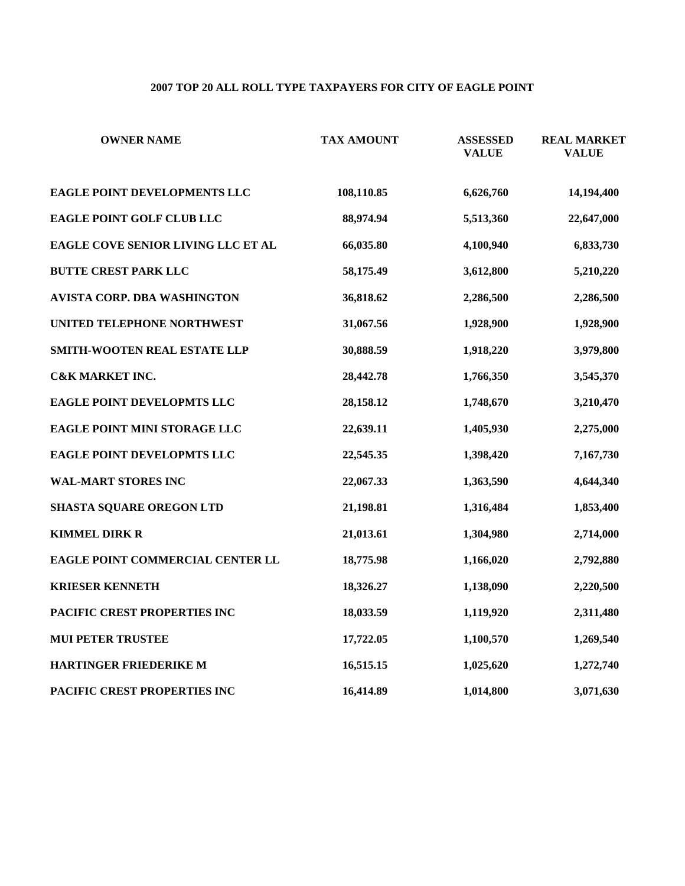# **2007 TOP 20 ALL ROLL TYPE TAXPAYERS FOR CITY OF EAGLE POINT**

| <b>OWNER NAME</b>                  | <b>TAX AMOUNT</b> | <b>ASSESSED</b><br><b>VALUE</b> | <b>REAL MARKET</b><br><b>VALUE</b> |
|------------------------------------|-------------------|---------------------------------|------------------------------------|
| EAGLE POINT DEVELOPMENTS LLC       | 108,110.85        | 6,626,760                       | 14,194,400                         |
| EAGLE POINT GOLF CLUB LLC          | 88,974.94         | 5,513,360                       | 22,647,000                         |
| EAGLE COVE SENIOR LIVING LLC ET AL | 66,035.80         | 4,100,940                       | 6,833,730                          |
| <b>BUTTE CREST PARK LLC</b>        | 58,175.49         | 3,612,800                       | 5,210,220                          |
| AVISTA CORP. DBA WASHINGTON        | 36,818.62         | 2,286,500                       | 2,286,500                          |
| UNITED TELEPHONE NORTHWEST         | 31,067.56         | 1,928,900                       | 1,928,900                          |
| SMITH-WOOTEN REAL ESTATE LLP       | 30,888.59         | 1,918,220                       | 3,979,800                          |
| <b>C&amp;K MARKET INC.</b>         | 28,442.78         | 1,766,350                       | 3,545,370                          |
| EAGLE POINT DEVELOPMTS LLC         | 28,158.12         | 1,748,670                       | 3,210,470                          |
| EAGLE POINT MINI STORAGE LLC       | 22,639.11         | 1,405,930                       | 2,275,000                          |
| EAGLE POINT DEVELOPMTS LLC         | 22,545.35         | 1,398,420                       | 7,167,730                          |
| <b>WAL-MART STORES INC</b>         | 22,067.33         | 1,363,590                       | 4,644,340                          |
| SHASTA SQUARE OREGON LTD           | 21,198.81         | 1,316,484                       | 1,853,400                          |
| <b>KIMMEL DIRK R</b>               | 21,013.61         | 1,304,980                       | 2,714,000                          |
| EAGLE POINT COMMERCIAL CENTER LL   | 18,775.98         | 1,166,020                       | 2,792,880                          |
| <b>KRIESER KENNETH</b>             | 18,326.27         | 1,138,090                       | 2,220,500                          |
| PACIFIC CREST PROPERTIES INC       | 18,033.59         | 1,119,920                       | 2,311,480                          |
| <b>MUI PETER TRUSTEE</b>           | 17,722.05         | 1,100,570                       | 1,269,540                          |
| HARTINGER FRIEDERIKE M             | 16,515.15         | 1,025,620                       | 1,272,740                          |
| PACIFIC CREST PROPERTIES INC       | 16,414.89         | 1,014,800                       | 3,071,630                          |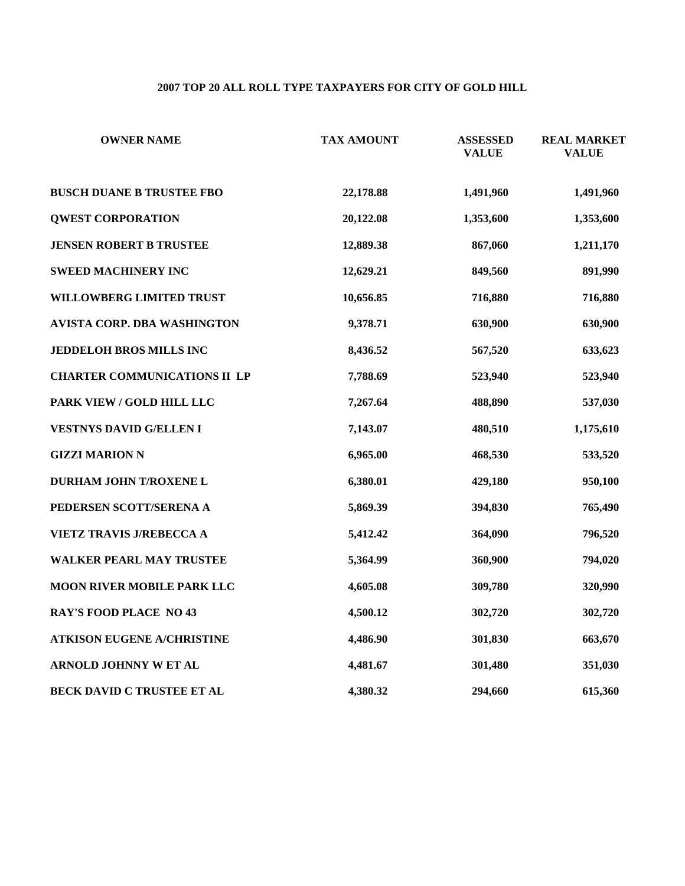# **2007 TOP 20 ALL ROLL TYPE TAXPAYERS FOR CITY OF GOLD HILL**

| <b>OWNER NAME</b>                   | <b>TAX AMOUNT</b> | <b>ASSESSED</b><br><b>VALUE</b> | <b>REAL MARKET</b><br><b>VALUE</b> |
|-------------------------------------|-------------------|---------------------------------|------------------------------------|
| <b>BUSCH DUANE B TRUSTEE FBO</b>    | 22,178.88         | 1,491,960                       | 1,491,960                          |
| <b>QWEST CORPORATION</b>            | 20,122.08         | 1,353,600                       | 1,353,600                          |
| <b>JENSEN ROBERT B TRUSTEE</b>      | 12,889.38         | 867,060                         | 1,211,170                          |
| <b>SWEED MACHINERY INC</b>          | 12,629.21         | 849,560                         | 891,990                            |
| WILLOWBERG LIMITED TRUST            | 10,656.85         | 716,880                         | 716,880                            |
| <b>AVISTA CORP. DBA WASHINGTON</b>  | 9,378.71          | 630,900                         | 630,900                            |
| JEDDELOH BROS MILLS INC             | 8,436.52          | 567,520                         | 633,623                            |
| <b>CHARTER COMMUNICATIONS II LP</b> | 7,788.69          | 523,940                         | 523,940                            |
| PARK VIEW / GOLD HILL LLC           | 7,267.64          | 488,890                         | 537,030                            |
| <b>VESTNYS DAVID G/ELLEN I</b>      | 7,143.07          | 480,510                         | 1,175,610                          |
| <b>GIZZI MARION N</b>               | 6,965.00          | 468,530                         | 533,520                            |
| DURHAM JOHN T/ROXENE L              | 6,380.01          | 429,180                         | 950,100                            |
| PEDERSEN SCOTT/SERENA A             | 5,869.39          | 394,830                         | 765,490                            |
| VIETZ TRAVIS J/REBECCA A            | 5,412.42          | 364,090                         | 796,520                            |
| <b>WALKER PEARL MAY TRUSTEE</b>     | 5,364.99          | 360,900                         | 794,020                            |
| MOON RIVER MOBILE PARK LLC          | 4,605.08          | 309,780                         | 320,990                            |
| <b>RAY'S FOOD PLACE NO 43</b>       | 4,500.12          | 302,720                         | 302,720                            |
| <b>ATKISON EUGENE A/CHRISTINE</b>   | 4,486.90          | 301,830                         | 663,670                            |
| ARNOLD JOHNNY W ET AL               | 4,481.67          | 301,480                         | 351,030                            |
| BECK DAVID C TRUSTEE ET AL          | 4,380.32          | 294,660                         | 615,360                            |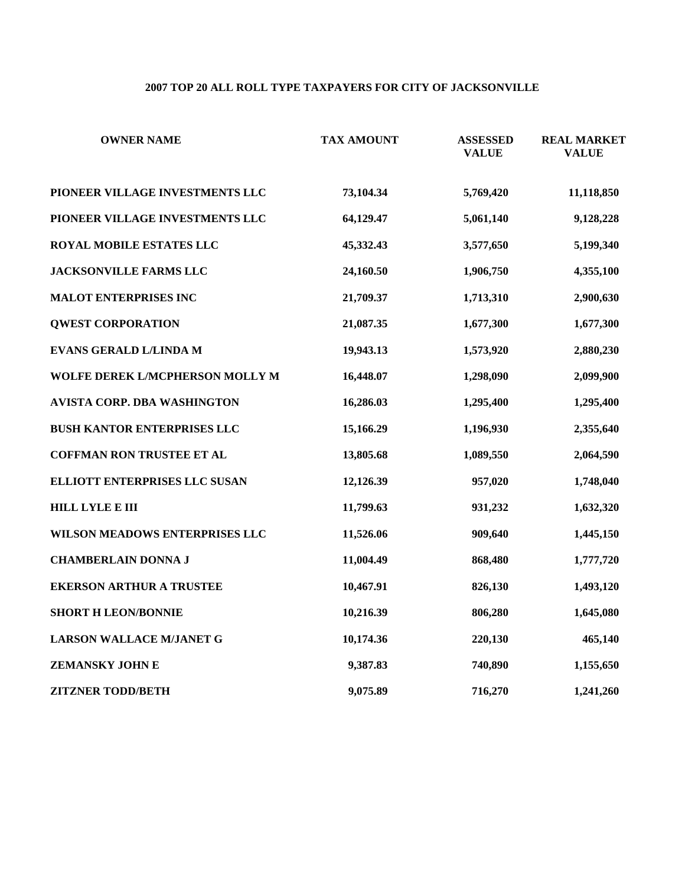# **2007 TOP 20 ALL ROLL TYPE TAXPAYERS FOR CITY OF JACKSONVILLE**

| <b>OWNER NAME</b>                  | <b>TAX AMOUNT</b> | <b>ASSESSED</b><br><b>VALUE</b> | <b>REAL MARKET</b><br><b>VALUE</b> |
|------------------------------------|-------------------|---------------------------------|------------------------------------|
| PIONEER VILLAGE INVESTMENTS LLC    | 73,104.34         | 5,769,420                       | 11,118,850                         |
| PIONEER VILLAGE INVESTMENTS LLC    | 64,129.47         | 5,061,140                       | 9,128,228                          |
| <b>ROYAL MOBILE ESTATES LLC</b>    | 45,332.43         | 3,577,650                       | 5,199,340                          |
| <b>JACKSONVILLE FARMS LLC</b>      | 24,160.50         | 1,906,750                       | 4,355,100                          |
| <b>MALOT ENTERPRISES INC</b>       | 21,709.37         | 1,713,310                       | 2,900,630                          |
| <b>QWEST CORPORATION</b>           | 21,087.35         | 1,677,300                       | 1,677,300                          |
| EVANS GERALD L/LINDA M             | 19,943.13         | 1,573,920                       | 2,880,230                          |
| WOLFE DEREK L/MCPHERSON MOLLY M    | 16,448.07         | 1,298,090                       | 2,099,900                          |
| AVISTA CORP. DBA WASHINGTON        | 16,286.03         | 1,295,400                       | 1,295,400                          |
| <b>BUSH KANTOR ENTERPRISES LLC</b> | 15,166.29         | 1,196,930                       | 2,355,640                          |
| <b>COFFMAN RON TRUSTEE ET AL</b>   | 13,805.68         | 1,089,550                       | 2,064,590                          |
| ELLIOTT ENTERPRISES LLC SUSAN      | 12,126.39         | 957,020                         | 1,748,040                          |
| <b>HILL LYLE E III</b>             | 11,799.63         | 931,232                         | 1,632,320                          |
| WILSON MEADOWS ENTERPRISES LLC     | 11,526.06         | 909,640                         | 1,445,150                          |
| <b>CHAMBERLAIN DONNA J</b>         | 11,004.49         | 868,480                         | 1,777,720                          |
| <b>EKERSON ARTHUR A TRUSTEE</b>    | 10,467.91         | 826,130                         | 1,493,120                          |
| <b>SHORT H LEON/BONNIE</b>         | 10,216.39         | 806,280                         | 1,645,080                          |
| LARSON WALLACE M/JANET G           | 10,174.36         | 220,130                         | 465,140                            |
| <b>ZEMANSKY JOHN E</b>             | 9,387.83          | 740,890                         | 1,155,650                          |
| <b>ZITZNER TODD/BETH</b>           | 9,075.89          | 716,270                         | 1,241,260                          |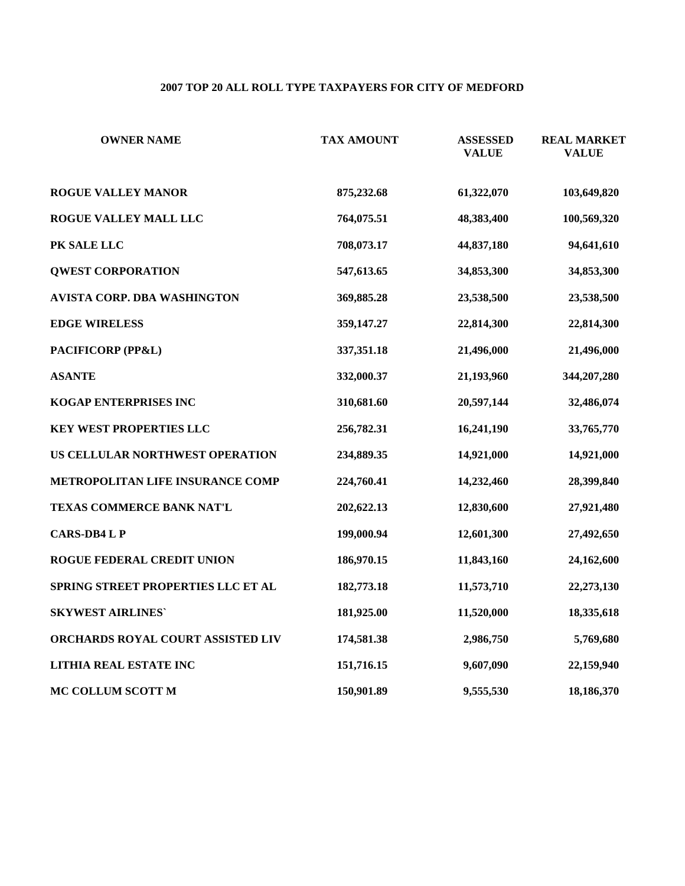# **2007 TOP 20 ALL ROLL TYPE TAXPAYERS FOR CITY OF MEDFORD**

| <b>OWNER NAME</b>                  | <b>TAX AMOUNT</b> | <b>ASSESSED</b><br><b>VALUE</b> | <b>REAL MARKET</b><br><b>VALUE</b> |
|------------------------------------|-------------------|---------------------------------|------------------------------------|
| <b>ROGUE VALLEY MANOR</b>          | 875,232.68        | 61,322,070                      | 103,649,820                        |
| ROGUE VALLEY MALL LLC              | 764,075.51        | 48,383,400                      | 100,569,320                        |
| PK SALE LLC                        | 708,073.17        | 44,837,180                      | 94,641,610                         |
| <b>QWEST CORPORATION</b>           | 547,613.65        | 34,853,300                      | 34,853,300                         |
| AVISTA CORP. DBA WASHINGTON        | 369,885.28        | 23,538,500                      | 23,538,500                         |
| <b>EDGE WIRELESS</b>               | 359,147.27        | 22,814,300                      | 22,814,300                         |
| PACIFICORP (PP&L)                  | 337,351.18        | 21,496,000                      | 21,496,000                         |
| <b>ASANTE</b>                      | 332,000.37        | 21,193,960                      | 344,207,280                        |
| <b>KOGAP ENTERPRISES INC</b>       | 310,681.60        | 20,597,144                      | 32,486,074                         |
| KEY WEST PROPERTIES LLC            | 256,782.31        | 16,241,190                      | 33,765,770                         |
| US CELLULAR NORTHWEST OPERATION    | 234,889.35        | 14,921,000                      | 14,921,000                         |
| METROPOLITAN LIFE INSURANCE COMP   | 224,760.41        | 14,232,460                      | 28,399,840                         |
| TEXAS COMMERCE BANK NAT'L          | 202,622.13        | 12,830,600                      | 27,921,480                         |
| <b>CARS-DB4 L P</b>                | 199,000.94        | 12,601,300                      | 27,492,650                         |
| <b>ROGUE FEDERAL CREDIT UNION</b>  | 186,970.15        | 11,843,160                      | 24,162,600                         |
| SPRING STREET PROPERTIES LLC ET AL | 182,773.18        | 11,573,710                      | 22,273,130                         |
| <b>SKYWEST AIRLINES'</b>           | 181,925.00        | 11,520,000                      | 18,335,618                         |
| ORCHARDS ROYAL COURT ASSISTED LIV  | 174,581.38        | 2,986,750                       | 5,769,680                          |
| LITHIA REAL ESTATE INC             | 151,716.15        | 9,607,090                       | 22,159,940                         |
| MC COLLUM SCOTT M                  | 150,901.89        | 9,555,530                       | 18,186,370                         |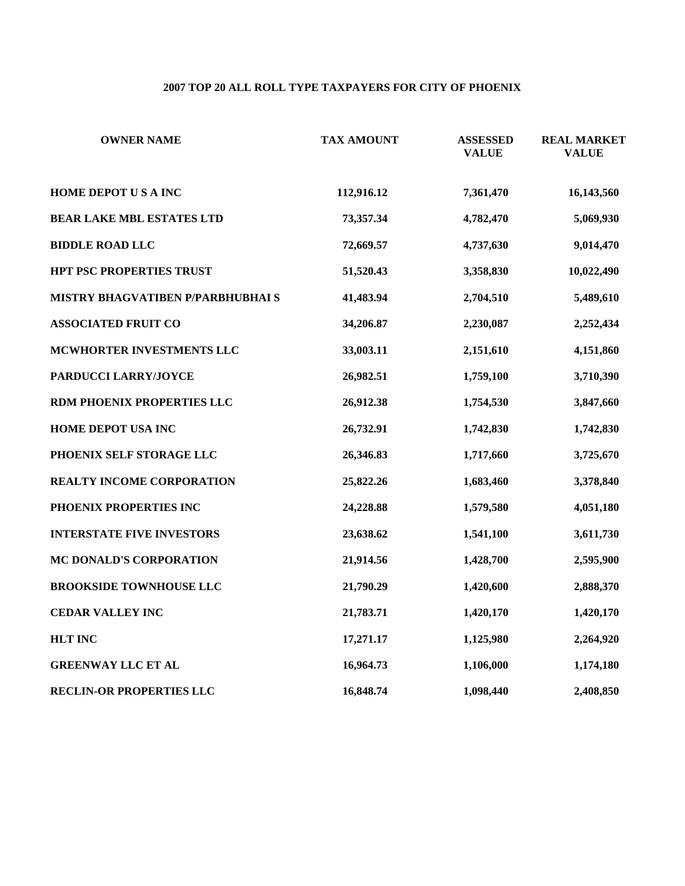# **2007 TOP 20 ALL ROLL TYPE TAXPAYERS FOR CITY OF PHOENIX**

| <b>OWNER NAME</b>                 | <b>TAX AMOUNT</b> | <b>ASSESSED</b><br><b>VALUE</b> | <b>REAL MARKET</b><br><b>VALUE</b> |
|-----------------------------------|-------------------|---------------------------------|------------------------------------|
| HOME DEPOT US A INC               | 112,916.12        | 7,361,470                       | 16,143,560                         |
| <b>BEAR LAKE MBL ESTATES LTD</b>  | 73,357.34         | 4,782,470                       | 5,069,930                          |
| <b>BIDDLE ROAD LLC</b>            | 72,669.57         | 4,737,630                       | 9,014,470                          |
| HPT PSC PROPERTIES TRUST          | 51,520.43         | 3,358,830                       | 10,022,490                         |
| MISTRY BHAGVATIBEN P/PARBHUBHAI S | 41,483.94         | 2,704,510                       | 5,489,610                          |
| <b>ASSOCIATED FRUIT CO</b>        | 34,206.87         | 2,230,087                       | 2,252,434                          |
| MCWHORTER INVESTMENTS LLC         | 33,003.11         | 2,151,610                       | 4,151,860                          |
| PARDUCCI LARRY/JOYCE              | 26,982.51         | 1,759,100                       | 3,710,390                          |
| RDM PHOENIX PROPERTIES LLC        | 26,912.38         | 1,754,530                       | 3,847,660                          |
| HOME DEPOT USA INC                | 26,732.91         | 1,742,830                       | 1,742,830                          |
| PHOENIX SELF STORAGE LLC          | 26,346.83         | 1,717,660                       | 3,725,670                          |
| REALTY INCOME CORPORATION         | 25,822.26         | 1,683,460                       | 3,378,840                          |
| PHOENIX PROPERTIES INC            | 24,228.88         | 1,579,580                       | 4,051,180                          |
| <b>INTERSTATE FIVE INVESTORS</b>  | 23,638.62         | 1,541,100                       | 3,611,730                          |
| MC DONALD'S CORPORATION           | 21,914.56         | 1,428,700                       | 2,595,900                          |
| <b>BROOKSIDE TOWNHOUSE LLC</b>    | 21,790.29         | 1,420,600                       | 2,888,370                          |
| <b>CEDAR VALLEY INC</b>           | 21,783.71         | 1,420,170                       | 1,420,170                          |
| <b>HLT INC</b>                    | 17,271.17         | 1,125,980                       | 2,264,920                          |
| <b>GREENWAY LLC ET AL</b>         | 16,964.73         | 1,106,000                       | 1,174,180                          |
| <b>RECLIN-OR PROPERTIES LLC</b>   | 16,848.74         | 1,098,440                       | 2,408,850                          |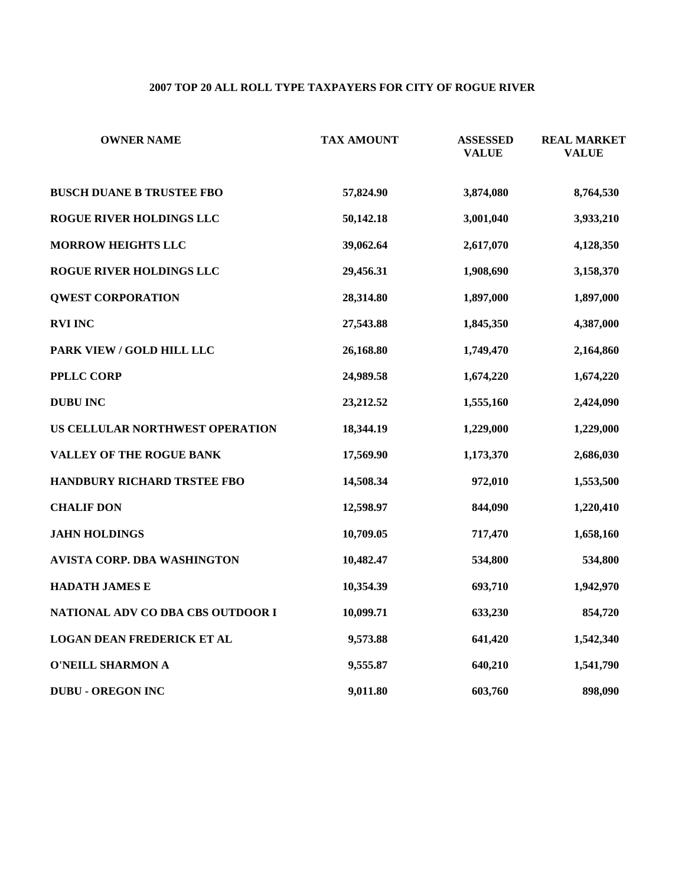# **2007 TOP 20 ALL ROLL TYPE TAXPAYERS FOR CITY OF ROGUE RIVER**

| <b>OWNER NAME</b>                 | <b>TAX AMOUNT</b> | <b>ASSESSED</b><br><b>VALUE</b> | <b>REAL MARKET</b><br><b>VALUE</b> |
|-----------------------------------|-------------------|---------------------------------|------------------------------------|
| <b>BUSCH DUANE B TRUSTEE FBO</b>  | 57,824.90         | 3,874,080                       | 8,764,530                          |
| ROGUE RIVER HOLDINGS LLC          | 50,142.18         | 3,001,040                       | 3,933,210                          |
| <b>MORROW HEIGHTS LLC</b>         | 39,062.64         | 2,617,070                       | 4,128,350                          |
| ROGUE RIVER HOLDINGS LLC          | 29,456.31         | 1,908,690                       | 3,158,370                          |
| <b>QWEST CORPORATION</b>          | 28,314.80         | 1,897,000                       | 1,897,000                          |
| <b>RVI INC</b>                    | 27,543.88         | 1,845,350                       | 4,387,000                          |
| PARK VIEW / GOLD HILL LLC         | 26,168.80         | 1,749,470                       | 2,164,860                          |
| <b>PPLLC CORP</b>                 | 24,989.58         | 1,674,220                       | 1,674,220                          |
| <b>DUBU INC</b>                   | 23,212.52         | 1,555,160                       | 2,424,090                          |
| US CELLULAR NORTHWEST OPERATION   | 18,344.19         | 1,229,000                       | 1,229,000                          |
| VALLEY OF THE ROGUE BANK          | 17,569.90         | 1,173,370                       | 2,686,030                          |
| HANDBURY RICHARD TRSTEE FBO       | 14,508.34         | 972,010                         | 1,553,500                          |
| <b>CHALIF DON</b>                 | 12,598.97         | 844,090                         | 1,220,410                          |
| <b>JAHN HOLDINGS</b>              | 10,709.05         | 717,470                         | 1,658,160                          |
| AVISTA CORP. DBA WASHINGTON       | 10,482.47         | 534,800                         | 534,800                            |
| <b>HADATH JAMES E</b>             | 10,354.39         | 693,710                         | 1,942,970                          |
| NATIONAL ADV CO DBA CBS OUTDOOR I | 10,099.71         | 633,230                         | 854,720                            |
| <b>LOGAN DEAN FREDERICK ET AL</b> | 9,573.88          | 641,420                         | 1,542,340                          |
| <b>O'NEILL SHARMON A</b>          | 9,555.87          | 640,210                         | 1,541,790                          |
| <b>DUBU - OREGON INC</b>          | 9,011.80          | 603,760                         | 898,090                            |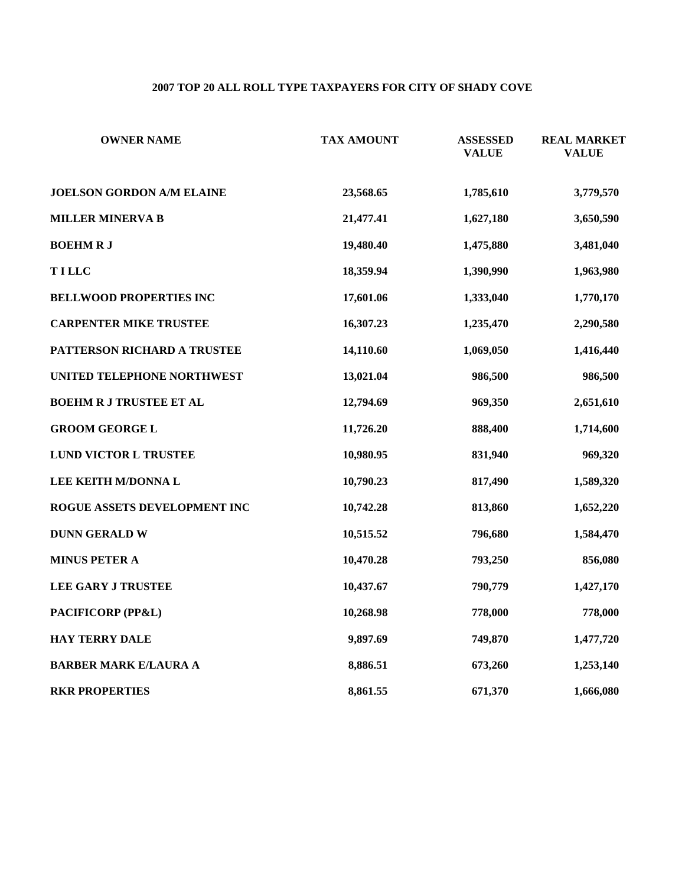# **2007 TOP 20 ALL ROLL TYPE TAXPAYERS FOR CITY OF SHADY COVE**

| <b>OWNER NAME</b>                | <b>TAX AMOUNT</b> | <b>ASSESSED</b><br><b>VALUE</b> | <b>REAL MARKET</b><br><b>VALUE</b> |
|----------------------------------|-------------------|---------------------------------|------------------------------------|
| <b>JOELSON GORDON A/M ELAINE</b> | 23,568.65         | 1,785,610                       | 3,779,570                          |
| <b>MILLER MINERVA B</b>          | 21,477.41         | 1,627,180                       | 3,650,590                          |
| <b>BOEHMRJ</b>                   | 19,480.40         | 1,475,880                       | 3,481,040                          |
| <b>TILLC</b>                     | 18,359.94         | 1,390,990                       | 1,963,980                          |
| <b>BELLWOOD PROPERTIES INC</b>   | 17,601.06         | 1,333,040                       | 1,770,170                          |
| <b>CARPENTER MIKE TRUSTEE</b>    | 16,307.23         | 1,235,470                       | 2,290,580                          |
| PATTERSON RICHARD A TRUSTEE      | 14,110.60         | 1,069,050                       | 1,416,440                          |
| UNITED TELEPHONE NORTHWEST       | 13,021.04         | 986,500                         | 986,500                            |
| <b>BOEHM R J TRUSTEE ET AL</b>   | 12,794.69         | 969,350                         | 2,651,610                          |
| <b>GROOM GEORGE L</b>            | 11,726.20         | 888,400                         | 1,714,600                          |
| LUND VICTOR L TRUSTEE            | 10,980.95         | 831,940                         | 969,320                            |
| LEE KEITH M/DONNA L              | 10,790.23         | 817,490                         | 1,589,320                          |
| ROGUE ASSETS DEVELOPMENT INC     | 10,742.28         | 813,860                         | 1,652,220                          |
| <b>DUNN GERALD W</b>             | 10,515.52         | 796,680                         | 1,584,470                          |
| <b>MINUS PETER A</b>             | 10,470.28         | 793,250                         | 856,080                            |
| <b>LEE GARY J TRUSTEE</b>        | 10,437.67         | 790,779                         | 1,427,170                          |
| PACIFICORP (PP&L)                | 10,268.98         | 778,000                         | 778,000                            |
| HAY TERRY DALE                   | 9,897.69          | 749,870                         | 1,477,720                          |
| <b>BARBER MARK E/LAURA A</b>     | 8,886.51          | 673,260                         | 1,253,140                          |
| <b>RKR PROPERTIES</b>            | 8,861.55          | 671,370                         | 1,666,080                          |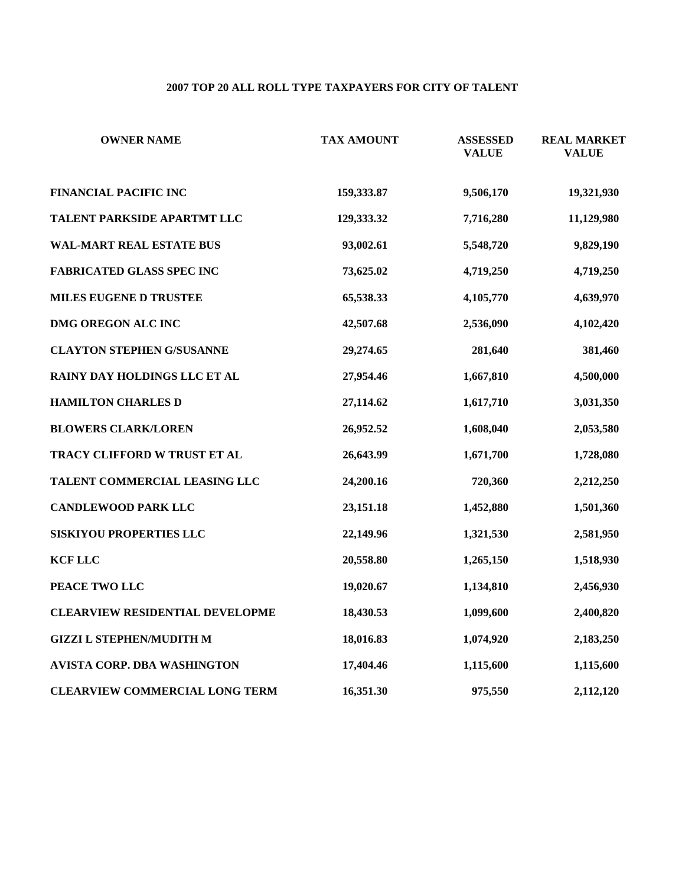# **2007 TOP 20 ALL ROLL TYPE TAXPAYERS FOR CITY OF TALENT**

| <b>OWNER NAME</b>                      | <b>TAX AMOUNT</b> | <b>ASSESSED</b><br><b>VALUE</b> | <b>REAL MARKET</b><br><b>VALUE</b> |
|----------------------------------------|-------------------|---------------------------------|------------------------------------|
| <b>FINANCIAL PACIFIC INC</b>           | 159,333.87        | 9,506,170                       | 19,321,930                         |
| TALENT PARKSIDE APARTMT LLC            | 129,333.32        | 7,716,280                       | 11,129,980                         |
| <b>WAL-MART REAL ESTATE BUS</b>        | 93,002.61         | 5,548,720                       | 9,829,190                          |
| <b>FABRICATED GLASS SPEC INC</b>       | 73,625.02         | 4,719,250                       | 4,719,250                          |
| MILES EUGENE D TRUSTEE                 | 65,538.33         | 4,105,770                       | 4,639,970                          |
| DMG OREGON ALC INC                     | 42,507.68         | 2,536,090                       | 4,102,420                          |
| <b>CLAYTON STEPHEN G/SUSANNE</b>       | 29,274.65         | 281,640                         | 381,460                            |
| RAINY DAY HOLDINGS LLC ET AL           | 27,954.46         | 1,667,810                       | 4,500,000                          |
| <b>HAMILTON CHARLES D</b>              | 27,114.62         | 1,617,710                       | 3,031,350                          |
| <b>BLOWERS CLARK/LOREN</b>             | 26,952.52         | 1,608,040                       | 2,053,580                          |
| TRACY CLIFFORD W TRUST ET AL           | 26,643.99         | 1,671,700                       | 1,728,080                          |
| TALENT COMMERCIAL LEASING LLC          | 24,200.16         | 720,360                         | 2,212,250                          |
| <b>CANDLEWOOD PARK LLC</b>             | 23,151.18         | 1,452,880                       | 1,501,360                          |
| SISKIYOU PROPERTIES LLC                | 22,149.96         | 1,321,530                       | 2,581,950                          |
| <b>KCF LLC</b>                         | 20,558.80         | 1,265,150                       | 1,518,930                          |
| PEACE TWO LLC                          | 19,020.67         | 1,134,810                       | 2,456,930                          |
| <b>CLEARVIEW RESIDENTIAL DEVELOPME</b> | 18,430.53         | 1,099,600                       | 2,400,820                          |
| <b>GIZZI L STEPHEN/MUDITH M</b>        | 18,016.83         | 1,074,920                       | 2,183,250                          |
| AVISTA CORP. DBA WASHINGTON            | 17,404.46         | 1,115,600                       | 1,115,600                          |
| <b>CLEARVIEW COMMERCIAL LONG TERM</b>  | 16,351.30         | 975,550                         | 2,112,120                          |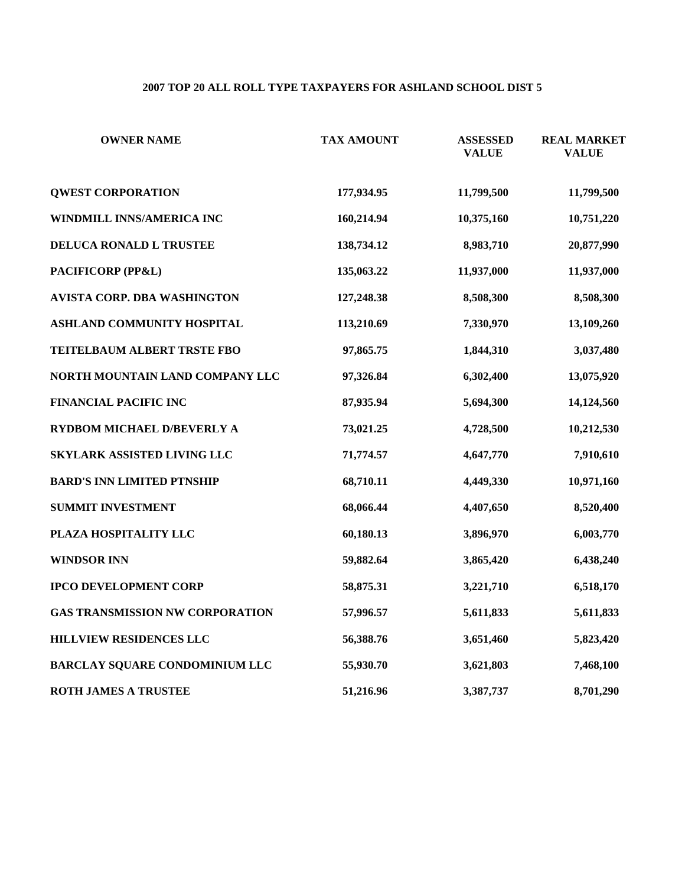# **2007 TOP 20 ALL ROLL TYPE TAXPAYERS FOR ASHLAND SCHOOL DIST 5**

| <b>OWNER NAME</b>                      | <b>TAX AMOUNT</b> | <b>ASSESSED</b><br><b>VALUE</b> | <b>REAL MARKET</b><br><b>VALUE</b> |
|----------------------------------------|-------------------|---------------------------------|------------------------------------|
| <b>QWEST CORPORATION</b>               | 177,934.95        | 11,799,500                      | 11,799,500                         |
| WINDMILL INNS/AMERICA INC              | 160,214.94        | 10,375,160                      | 10,751,220                         |
| DELUCA RONALD L TRUSTEE                | 138,734.12        | 8,983,710                       | 20,877,990                         |
| PACIFICORP (PP&L)                      | 135,063.22        | 11,937,000                      | 11,937,000                         |
| <b>AVISTA CORP. DBA WASHINGTON</b>     | 127,248.38        | 8,508,300                       | 8,508,300                          |
| ASHLAND COMMUNITY HOSPITAL             | 113,210.69        | 7,330,970                       | 13,109,260                         |
| TEITELBAUM ALBERT TRSTE FBO            | 97,865.75         | 1,844,310                       | 3,037,480                          |
| NORTH MOUNTAIN LAND COMPANY LLC        | 97,326.84         | 6,302,400                       | 13,075,920                         |
| <b>FINANCIAL PACIFIC INC</b>           | 87,935.94         | 5,694,300                       | 14,124,560                         |
| RYDBOM MICHAEL D/BEVERLY A             | 73,021.25         | 4,728,500                       | 10,212,530                         |
| SKYLARK ASSISTED LIVING LLC            | 71,774.57         | 4,647,770                       | 7,910,610                          |
| <b>BARD'S INN LIMITED PTNSHIP</b>      | 68,710.11         | 4,449,330                       | 10,971,160                         |
| <b>SUMMIT INVESTMENT</b>               | 68,066.44         | 4,407,650                       | 8,520,400                          |
| PLAZA HOSPITALITY LLC                  | 60,180.13         | 3,896,970                       | 6,003,770                          |
| <b>WINDSOR INN</b>                     | 59,882.64         | 3,865,420                       | 6,438,240                          |
| <b>IPCO DEVELOPMENT CORP</b>           | 58,875.31         | 3,221,710                       | 6,518,170                          |
| <b>GAS TRANSMISSION NW CORPORATION</b> | 57,996.57         | 5,611,833                       | 5,611,833                          |
| HILLVIEW RESIDENCES LLC                | 56,388.76         | 3,651,460                       | 5,823,420                          |
| BARCLAY SQUARE CONDOMINIUM LLC         | 55,930.70         | 3,621,803                       | 7,468,100                          |
| ROTH JAMES A TRUSTEE                   | 51,216.96         | 3,387,737                       | 8,701,290                          |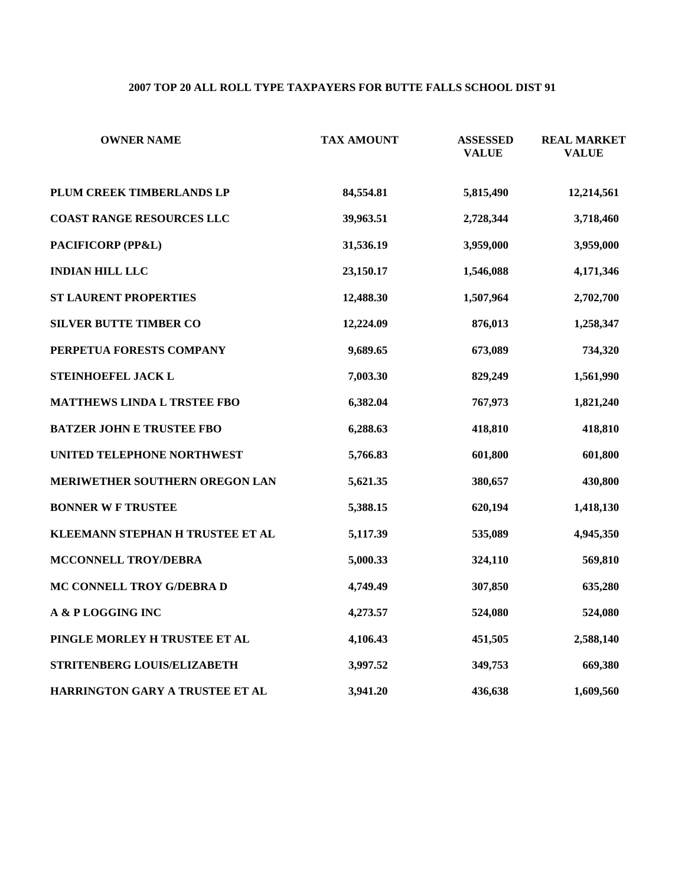## **2007 TOP 20 ALL ROLL TYPE TAXPAYERS FOR BUTTE FALLS SCHOOL DIST 91**

| <b>OWNER NAME</b>                  | <b>TAX AMOUNT</b> | <b>ASSESSED</b><br><b>VALUE</b> | <b>REAL MARKET</b><br><b>VALUE</b> |
|------------------------------------|-------------------|---------------------------------|------------------------------------|
| PLUM CREEK TIMBERLANDS LP          | 84,554.81         | 5,815,490                       | 12,214,561                         |
| <b>COAST RANGE RESOURCES LLC</b>   | 39,963.51         | 2,728,344                       | 3,718,460                          |
| PACIFICORP (PP&L)                  | 31,536.19         | 3,959,000                       | 3,959,000                          |
| <b>INDIAN HILL LLC</b>             | 23,150.17         | 1,546,088                       | 4,171,346                          |
| <b>ST LAURENT PROPERTIES</b>       | 12,488.30         | 1,507,964                       | 2,702,700                          |
| <b>SILVER BUTTE TIMBER CO</b>      | 12,224.09         | 876,013                         | 1,258,347                          |
| PERPETUA FORESTS COMPANY           | 9,689.65          | 673,089                         | 734,320                            |
| STEINHOEFEL JACK L                 | 7,003.30          | 829,249                         | 1,561,990                          |
| <b>MATTHEWS LINDA L TRSTEE FBO</b> | 6,382.04          | 767,973                         | 1,821,240                          |
| <b>BATZER JOHN E TRUSTEE FBO</b>   | 6,288.63          | 418,810                         | 418,810                            |
| UNITED TELEPHONE NORTHWEST         | 5,766.83          | 601,800                         | 601,800                            |
| MERIWETHER SOUTHERN OREGON LAN     | 5,621.35          | 380,657                         | 430,800                            |
| <b>BONNER W F TRUSTEE</b>          | 5,388.15          | 620,194                         | 1,418,130                          |
| KLEEMANN STEPHAN H TRUSTEE ET AL   | 5,117.39          | 535,089                         | 4,945,350                          |
| MCCONNELL TROY/DEBRA               | 5,000.33          | 324,110                         | 569,810                            |
| MC CONNELL TROY G/DEBRA D          | 4,749.49          | 307,850                         | 635,280                            |
| A & PLOGGING INC                   | 4,273.57          | 524,080                         | 524,080                            |
| PINGLE MORLEY H TRUSTEE ET AL      | 4,106.43          | 451,505                         | 2,588,140                          |
| STRITENBERG LOUIS/ELIZABETH        | 3,997.52          | 349,753                         | 669,380                            |
| HARRINGTON GARY A TRUSTEE ET AL    | 3,941.20          | 436,638                         | 1,609,560                          |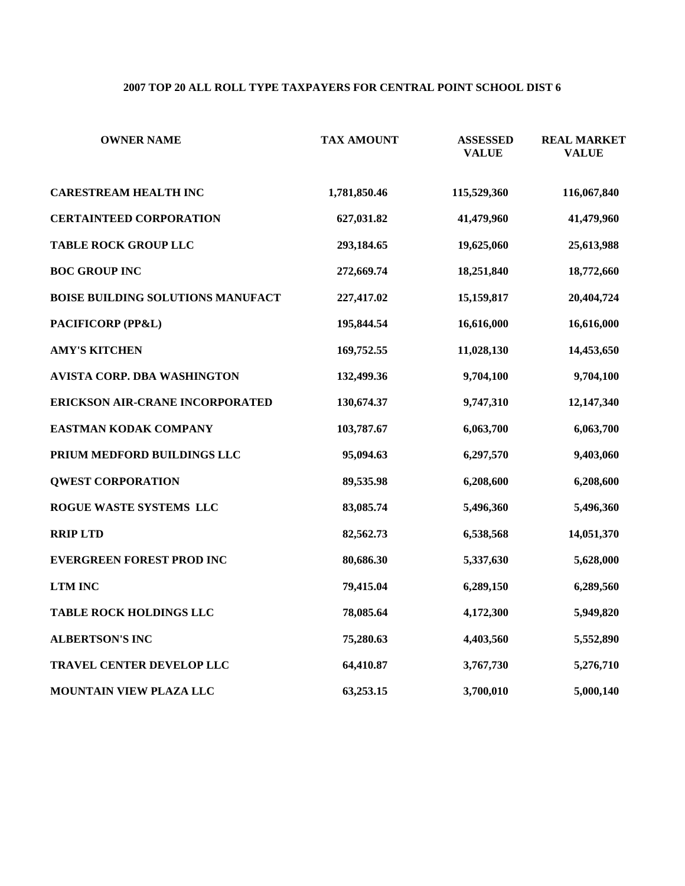#### **2007 TOP 20 ALL ROLL TYPE TAXPAYERS FOR CENTRAL POINT SCHOOL DIST 6**

| <b>OWNER NAME</b>                  | <b>TAX AMOUNT</b> | <b>ASSESSED</b><br><b>VALUE</b> | <b>REAL MARKET</b><br><b>VALUE</b> |
|------------------------------------|-------------------|---------------------------------|------------------------------------|
| <b>CARESTREAM HEALTH INC</b>       | 1,781,850.46      | 115,529,360                     | 116,067,840                        |
| <b>CERTAINTEED CORPORATION</b>     | 627,031.82        | 41,479,960                      | 41,479,960                         |
| <b>TABLE ROCK GROUP LLC</b>        | 293,184.65        | 19,625,060                      | 25,613,988                         |
| <b>BOC GROUP INC</b>               | 272,669.74        | 18,251,840                      | 18,772,660                         |
| BOISE BUILDING SOLUTIONS MANUFACT  | 227,417.02        | 15,159,817                      | 20,404,724                         |
| PACIFICORP (PP&L)                  | 195,844.54        | 16,616,000                      | 16,616,000                         |
| <b>AMY'S KITCHEN</b>               | 169,752.55        | 11,028,130                      | 14,453,650                         |
| <b>AVISTA CORP. DBA WASHINGTON</b> | 132,499.36        | 9,704,100                       | 9,704,100                          |
| ERICKSON AIR-CRANE INCORPORATED    | 130,674.37        | 9,747,310                       | 12,147,340                         |
| EASTMAN KODAK COMPANY              | 103,787.67        | 6,063,700                       | 6,063,700                          |
| PRIUM MEDFORD BUILDINGS LLC        | 95,094.63         | 6,297,570                       | 9,403,060                          |
| <b>QWEST CORPORATION</b>           | 89,535.98         | 6,208,600                       | 6,208,600                          |
| ROGUE WASTE SYSTEMS LLC            | 83,085.74         | 5,496,360                       | 5,496,360                          |
| <b>RRIP LTD</b>                    | 82,562.73         | 6,538,568                       | 14,051,370                         |
| <b>EVERGREEN FOREST PROD INC</b>   | 80,686.30         | 5,337,630                       | 5,628,000                          |
| <b>LTM INC</b>                     | 79,415.04         | 6,289,150                       | 6,289,560                          |
| <b>TABLE ROCK HOLDINGS LLC</b>     | 78,085.64         | 4,172,300                       | 5,949,820                          |
| <b>ALBERTSON'S INC</b>             | 75,280.63         | 4,403,560                       | 5,552,890                          |
| TRAVEL CENTER DEVELOP LLC          | 64,410.87         | 3,767,730                       | 5,276,710                          |
| MOUNTAIN VIEW PLAZA LLC            | 63,253.15         | 3,700,010                       | 5,000,140                          |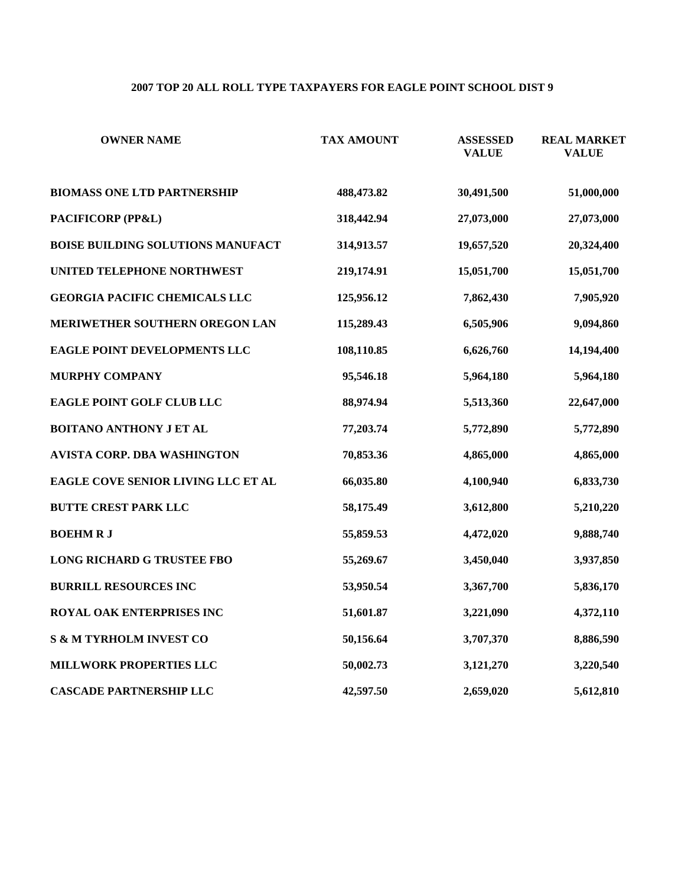#### **2007 TOP 20 ALL ROLL TYPE TAXPAYERS FOR EAGLE POINT SCHOOL DIST 9**

| <b>OWNER NAME</b>                    | <b>TAX AMOUNT</b> | <b>ASSESSED</b><br><b>VALUE</b> | <b>REAL MARKET</b><br><b>VALUE</b> |
|--------------------------------------|-------------------|---------------------------------|------------------------------------|
| <b>BIOMASS ONE LTD PARTNERSHIP</b>   | 488,473.82        | 30,491,500                      | 51,000,000                         |
| PACIFICORP (PP&L)                    | 318,442.94        | 27,073,000                      | 27,073,000                         |
| BOISE BUILDING SOLUTIONS MANUFACT    | 314,913.57        | 19,657,520                      | 20,324,400                         |
| UNITED TELEPHONE NORTHWEST           | 219,174.91        | 15,051,700                      | 15,051,700                         |
| <b>GEORGIA PACIFIC CHEMICALS LLC</b> | 125,956.12        | 7,862,430                       | 7,905,920                          |
| MERIWETHER SOUTHERN OREGON LAN       | 115,289.43        | 6,505,906                       | 9,094,860                          |
| EAGLE POINT DEVELOPMENTS LLC         | 108,110.85        | 6,626,760                       | 14,194,400                         |
| <b>MURPHY COMPANY</b>                | 95,546.18         | 5,964,180                       | 5,964,180                          |
| EAGLE POINT GOLF CLUB LLC            | 88,974.94         | 5,513,360                       | 22,647,000                         |
| <b>BOITANO ANTHONY J ET AL</b>       | 77,203.74         | 5,772,890                       | 5,772,890                          |
| AVISTA CORP. DBA WASHINGTON          | 70,853.36         | 4,865,000                       | 4,865,000                          |
| EAGLE COVE SENIOR LIVING LLC ET AL   | 66,035.80         | 4,100,940                       | 6,833,730                          |
| <b>BUTTE CREST PARK LLC</b>          | 58,175.49         | 3,612,800                       | 5,210,220                          |
| <b>BOEHMRJ</b>                       | 55,859.53         | 4,472,020                       | 9,888,740                          |
| <b>LONG RICHARD G TRUSTEE FBO</b>    | 55,269.67         | 3,450,040                       | 3,937,850                          |
| <b>BURRILL RESOURCES INC</b>         | 53,950.54         | 3,367,700                       | 5,836,170                          |
| ROYAL OAK ENTERPRISES INC            | 51,601.87         | 3,221,090                       | 4,372,110                          |
| <b>S &amp; M TYRHOLM INVEST CO</b>   | 50,156.64         | 3,707,370                       | 8,886,590                          |
| MILLWORK PROPERTIES LLC              | 50,002.73         | 3,121,270                       | 3,220,540                          |
| <b>CASCADE PARTNERSHIP LLC</b>       | 42,597.50         | 2,659,020                       | 5,612,810                          |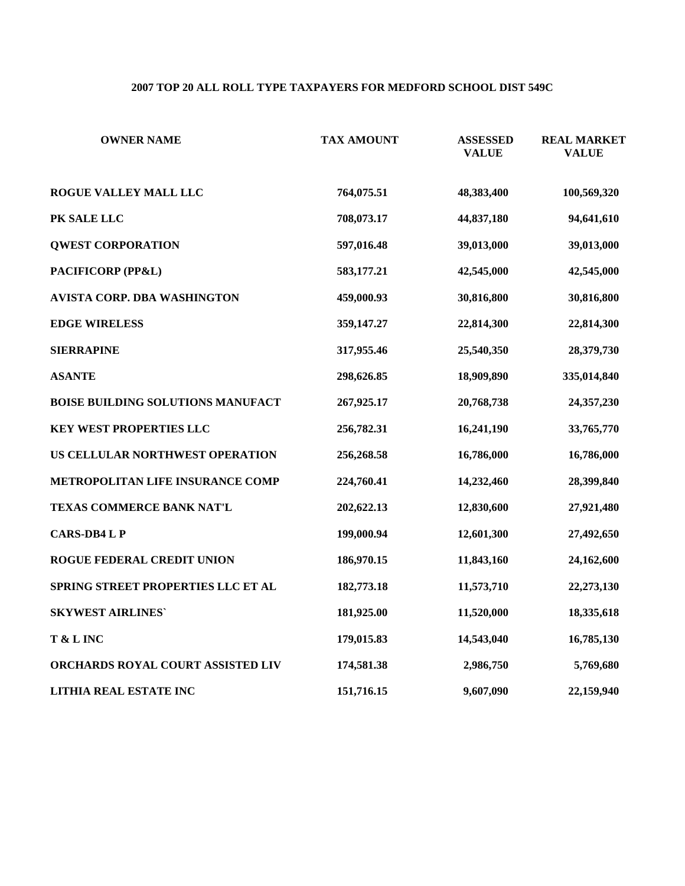## **2007 TOP 20 ALL ROLL TYPE TAXPAYERS FOR MEDFORD SCHOOL DIST 549C**

| <b>OWNER NAME</b>                        | <b>TAX AMOUNT</b> | <b>ASSESSED</b><br><b>VALUE</b> | <b>REAL MARKET</b><br><b>VALUE</b> |
|------------------------------------------|-------------------|---------------------------------|------------------------------------|
| <b>ROGUE VALLEY MALL LLC</b>             | 764,075.51        | 48,383,400                      | 100,569,320                        |
| PK SALE LLC                              | 708,073.17        | 44,837,180                      | 94,641,610                         |
| <b>QWEST CORPORATION</b>                 | 597,016.48        | 39,013,000                      | 39,013,000                         |
| PACIFICORP (PP&L)                        | 583,177.21        | 42,545,000                      | 42,545,000                         |
| <b>AVISTA CORP. DBA WASHINGTON</b>       | 459,000.93        | 30,816,800                      | 30,816,800                         |
| <b>EDGE WIRELESS</b>                     | 359,147.27        | 22,814,300                      | 22,814,300                         |
| <b>SIERRAPINE</b>                        | 317,955.46        | 25,540,350                      | 28,379,730                         |
| <b>ASANTE</b>                            | 298,626.85        | 18,909,890                      | 335,014,840                        |
| <b>BOISE BUILDING SOLUTIONS MANUFACT</b> | 267,925.17        | 20,768,738                      | 24,357,230                         |
| <b>KEY WEST PROPERTIES LLC</b>           | 256,782.31        | 16,241,190                      | 33,765,770                         |
| US CELLULAR NORTHWEST OPERATION          | 256,268.58        | 16,786,000                      | 16,786,000                         |
| METROPOLITAN LIFE INSURANCE COMP         | 224,760.41        | 14,232,460                      | 28,399,840                         |
| TEXAS COMMERCE BANK NAT'L                | 202,622.13        | 12,830,600                      | 27,921,480                         |
| <b>CARS-DB4 L P</b>                      | 199,000.94        | 12,601,300                      | 27,492,650                         |
| ROGUE FEDERAL CREDIT UNION               | 186,970.15        | 11,843,160                      | 24,162,600                         |
| SPRING STREET PROPERTIES LLC ET AL       | 182,773.18        | 11,573,710                      | 22,273,130                         |
| <b>SKYWEST AIRLINES'</b>                 | 181,925.00        | 11,520,000                      | 18,335,618                         |
| T & L INC                                | 179,015.83        | 14,543,040                      | 16,785,130                         |
| ORCHARDS ROYAL COURT ASSISTED LIV        | 174,581.38        | 2,986,750                       | 5,769,680                          |
| LITHIA REAL ESTATE INC                   | 151,716.15        | 9,607,090                       | 22,159,940                         |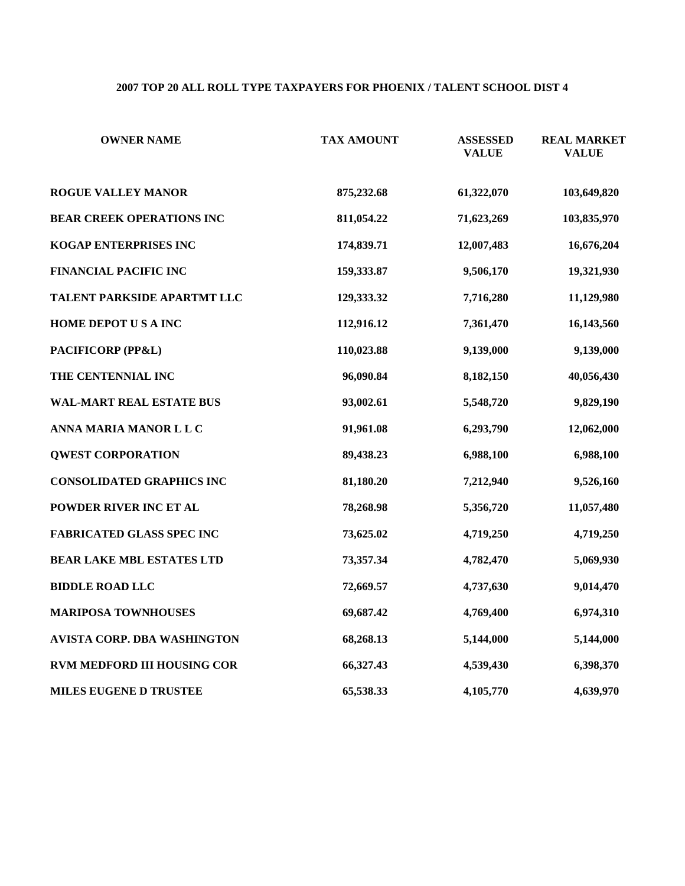## **2007 TOP 20 ALL ROLL TYPE TAXPAYERS FOR PHOENIX / TALENT SCHOOL DIST 4**

| <b>OWNER NAME</b>                | <b>TAX AMOUNT</b> | <b>ASSESSED</b><br><b>VALUE</b> | <b>REAL MARKET</b><br><b>VALUE</b> |
|----------------------------------|-------------------|---------------------------------|------------------------------------|
| <b>ROGUE VALLEY MANOR</b>        | 875,232.68        | 61,322,070                      | 103,649,820                        |
| <b>BEAR CREEK OPERATIONS INC</b> | 811,054.22        | 71,623,269                      | 103,835,970                        |
| KOGAP ENTERPRISES INC            | 174,839.71        | 12,007,483                      | 16,676,204                         |
| FINANCIAL PACIFIC INC            | 159,333.87        | 9,506,170                       | 19,321,930                         |
| TALENT PARKSIDE APARTMT LLC      | 129,333.32        | 7,716,280                       | 11,129,980                         |
| HOME DEPOT US A INC              | 112,916.12        | 7,361,470                       | 16,143,560                         |
| PACIFICORP (PP&L)                | 110,023.88        | 9,139,000                       | 9,139,000                          |
| THE CENTENNIAL INC               | 96,090.84         | 8,182,150                       | 40,056,430                         |
| <b>WAL-MART REAL ESTATE BUS</b>  | 93,002.61         | 5,548,720                       | 9,829,190                          |
| ANNA MARIA MANOR L L C           | 91,961.08         | 6,293,790                       | 12,062,000                         |
| <b>QWEST CORPORATION</b>         | 89,438.23         | 6,988,100                       | 6,988,100                          |
| <b>CONSOLIDATED GRAPHICS INC</b> | 81,180.20         | 7,212,940                       | 9,526,160                          |
| POWDER RIVER INC ET AL           | 78,268.98         | 5,356,720                       | 11,057,480                         |
| <b>FABRICATED GLASS SPEC INC</b> | 73,625.02         | 4,719,250                       | 4,719,250                          |
| <b>BEAR LAKE MBL ESTATES LTD</b> | 73,357.34         | 4,782,470                       | 5,069,930                          |
| <b>BIDDLE ROAD LLC</b>           | 72,669.57         | 4,737,630                       | 9,014,470                          |
| <b>MARIPOSA TOWNHOUSES</b>       | 69,687.42         | 4,769,400                       | 6,974,310                          |
| AVISTA CORP. DBA WASHINGTON      | 68,268.13         | 5,144,000                       | 5,144,000                          |
| RVM MEDFORD III HOUSING COR      | 66,327.43         | 4,539,430                       | 6,398,370                          |
| <b>MILES EUGENE D TRUSTEE</b>    | 65,538.33         | 4,105,770                       | 4,639,970                          |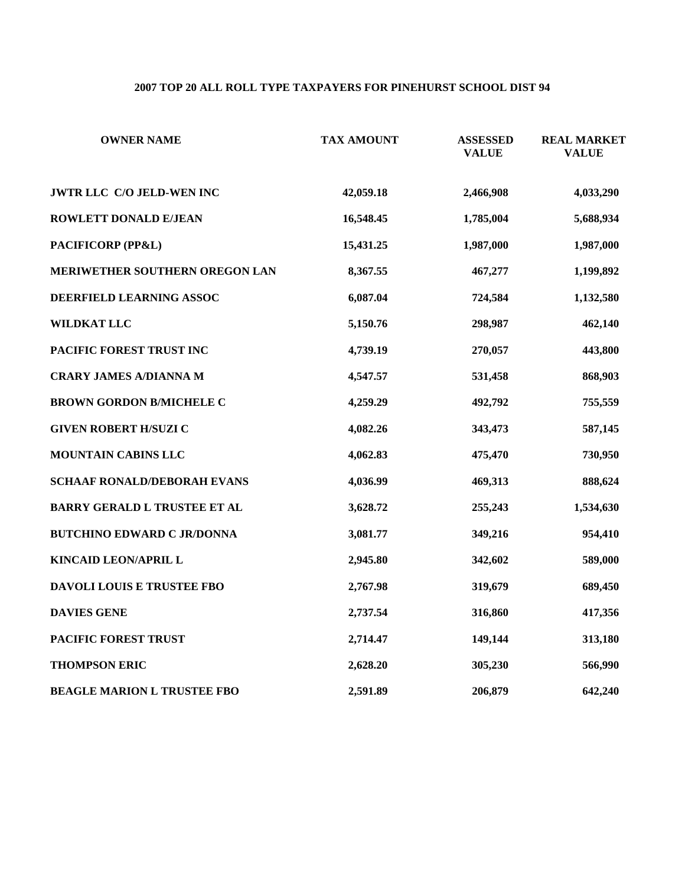# **2007 TOP 20 ALL ROLL TYPE TAXPAYERS FOR PINEHURST SCHOOL DIST 94**

| <b>OWNER NAME</b>                   | <b>TAX AMOUNT</b> | <b>ASSESSED</b><br><b>VALUE</b> | <b>REAL MARKET</b><br><b>VALUE</b> |
|-------------------------------------|-------------------|---------------------------------|------------------------------------|
| JWTR LLC C/O JELD-WEN INC           | 42,059.18         | 2,466,908                       | 4,033,290                          |
| ROWLETT DONALD E/JEAN               | 16,548.45         | 1,785,004                       | 5,688,934                          |
| PACIFICORP (PP&L)                   | 15,431.25         | 1,987,000                       | 1,987,000                          |
| MERIWETHER SOUTHERN OREGON LAN      | 8,367.55          | 467,277                         | 1,199,892                          |
| DEERFIELD LEARNING ASSOC            | 6,087.04          | 724,584                         | 1,132,580                          |
| WILDKAT LLC                         | 5,150.76          | 298,987                         | 462,140                            |
| PACIFIC FOREST TRUST INC            | 4,739.19          | 270,057                         | 443,800                            |
| <b>CRARY JAMES A/DIANNA M</b>       | 4,547.57          | 531,458                         | 868,903                            |
| <b>BROWN GORDON B/MICHELE C</b>     | 4,259.29          | 492,792                         | 755,559                            |
| <b>GIVEN ROBERT H/SUZI C</b>        | 4,082.26          | 343,473                         | 587,145                            |
| MOUNTAIN CABINS LLC                 | 4,062.83          | 475,470                         | 730,950                            |
| <b>SCHAAF RONALD/DEBORAH EVANS</b>  | 4,036.99          | 469,313                         | 888,624                            |
| <b>BARRY GERALD L TRUSTEE ET AL</b> | 3,628.72          | 255,243                         | 1,534,630                          |
| <b>BUTCHINO EDWARD C JR/DONNA</b>   | 3,081.77          | 349,216                         | 954,410                            |
| KINCAID LEON/APRIL L                | 2,945.80          | 342,602                         | 589,000                            |
| <b>DAVOLI LOUIS E TRUSTEE FBO</b>   | 2,767.98          | 319,679                         | 689,450                            |
| <b>DAVIES GENE</b>                  | 2,737.54          | 316,860                         | 417,356                            |
| PACIFIC FOREST TRUST                | 2,714.47          | 149,144                         | 313,180                            |
| <b>THOMPSON ERIC</b>                | 2,628.20          | 305,230                         | 566,990                            |
| <b>BEAGLE MARION L TRUSTEE FBO</b>  | 2,591.89          | 206,879                         | 642,240                            |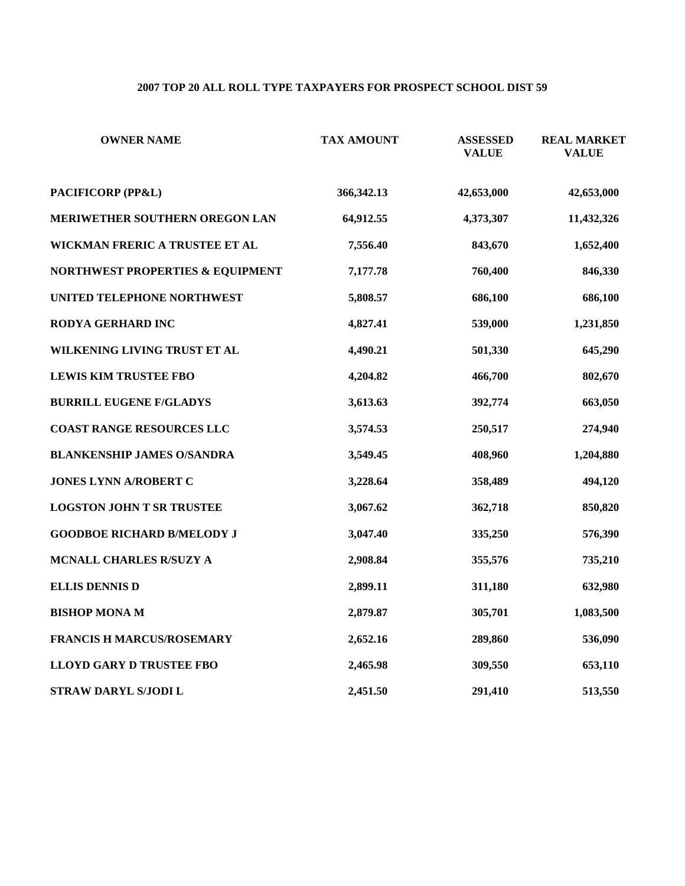# **2007 TOP 20 ALL ROLL TYPE TAXPAYERS FOR PROSPECT SCHOOL DIST 59**

| <b>OWNER NAME</b>                 | <b>TAX AMOUNT</b> | <b>ASSESSED</b><br><b>VALUE</b> | <b>REAL MARKET</b><br><b>VALUE</b> |
|-----------------------------------|-------------------|---------------------------------|------------------------------------|
| PACIFICORP (PP&L)                 | 366, 342. 13      | 42,653,000                      | 42,653,000                         |
| MERIWETHER SOUTHERN OREGON LAN    | 64,912.55         | 4,373,307                       | 11,432,326                         |
| WICKMAN FRERIC A TRUSTEE ET AL    | 7,556.40          | 843,670                         | 1,652,400                          |
| NORTHWEST PROPERTIES & EQUIPMENT  | 7,177.78          | 760,400                         | 846,330                            |
| UNITED TELEPHONE NORTHWEST        | 5,808.57          | 686,100                         | 686,100                            |
| RODYA GERHARD INC                 | 4,827.41          | 539,000                         | 1,231,850                          |
| WILKENING LIVING TRUST ET AL      | 4,490.21          | 501,330                         | 645,290                            |
| <b>LEWIS KIM TRUSTEE FBO</b>      | 4,204.82          | 466,700                         | 802,670                            |
| <b>BURRILL EUGENE F/GLADYS</b>    | 3,613.63          | 392,774                         | 663,050                            |
| <b>COAST RANGE RESOURCES LLC</b>  | 3,574.53          | 250,517                         | 274,940                            |
| <b>BLANKENSHIP JAMES O/SANDRA</b> | 3,549.45          | 408,960                         | 1,204,880                          |
| JONES LYNN A/ROBERT C             | 3,228.64          | 358,489                         | 494,120                            |
| <b>LOGSTON JOHN T SR TRUSTEE</b>  | 3,067.62          | 362,718                         | 850,820                            |
| <b>GOODBOE RICHARD B/MELODY J</b> | 3,047.40          | 335,250                         | 576,390                            |
| MCNALL CHARLES R/SUZY A           | 2,908.84          | 355,576                         | 735,210                            |
| <b>ELLIS DENNIS D</b>             | 2,899.11          | 311,180                         | 632,980                            |
| <b>BISHOP MONA M</b>              | 2,879.87          | 305,701                         | 1,083,500                          |
| <b>FRANCIS H MARCUS/ROSEMARY</b>  | 2,652.16          | 289,860                         | 536,090                            |
| <b>LLOYD GARY D TRUSTEE FBO</b>   | 2,465.98          | 309,550                         | 653,110                            |
| STRAW DARYL S/JODI L              | 2,451.50          | 291,410                         | 513,550                            |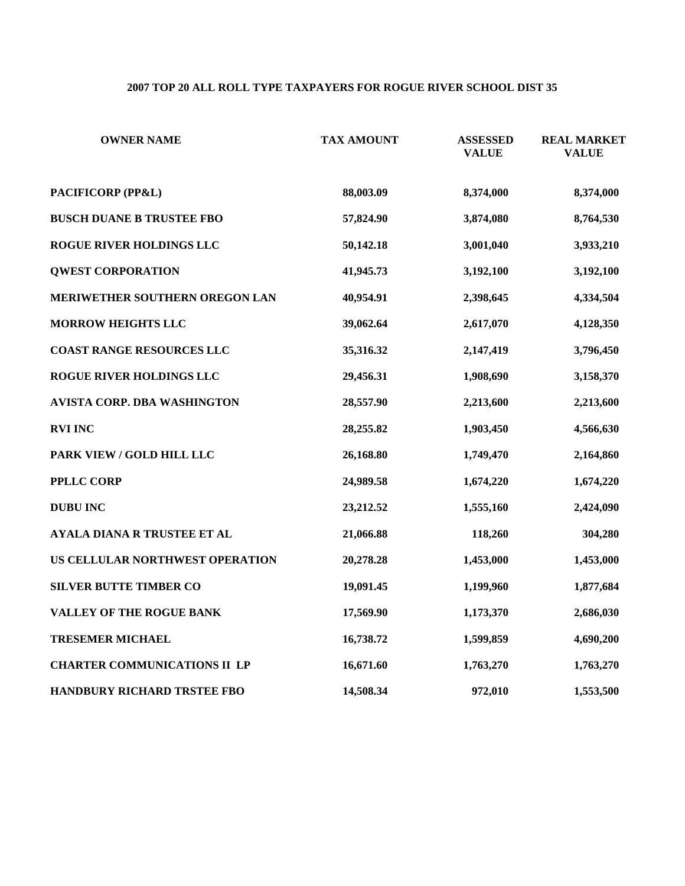#### **2007 TOP 20 ALL ROLL TYPE TAXPAYERS FOR ROGUE RIVER SCHOOL DIST 35**

| <b>OWNER NAME</b>                   | <b>TAX AMOUNT</b> | <b>ASSESSED</b><br><b>VALUE</b> | <b>REAL MARKET</b><br><b>VALUE</b> |
|-------------------------------------|-------------------|---------------------------------|------------------------------------|
| PACIFICORP (PP&L)                   | 88,003.09         | 8,374,000                       | 8,374,000                          |
| <b>BUSCH DUANE B TRUSTEE FBO</b>    | 57,824.90         | 3,874,080                       | 8,764,530                          |
| ROGUE RIVER HOLDINGS LLC            | 50,142.18         | 3,001,040                       | 3,933,210                          |
| <b>QWEST CORPORATION</b>            | 41,945.73         | 3,192,100                       | 3,192,100                          |
| MERIWETHER SOUTHERN OREGON LAN      | 40,954.91         | 2,398,645                       | 4,334,504                          |
| <b>MORROW HEIGHTS LLC</b>           | 39,062.64         | 2,617,070                       | 4,128,350                          |
| <b>COAST RANGE RESOURCES LLC</b>    | 35,316.32         | 2,147,419                       | 3,796,450                          |
| ROGUE RIVER HOLDINGS LLC            | 29,456.31         | 1,908,690                       | 3,158,370                          |
| <b>AVISTA CORP. DBA WASHINGTON</b>  | 28,557.90         | 2,213,600                       | 2,213,600                          |
| <b>RVI INC</b>                      | 28,255.82         | 1,903,450                       | 4,566,630                          |
| PARK VIEW / GOLD HILL LLC           | 26,168.80         | 1,749,470                       | 2,164,860                          |
| <b>PPLLC CORP</b>                   | 24,989.58         | 1,674,220                       | 1,674,220                          |
| <b>DUBU INC</b>                     | 23,212.52         | 1,555,160                       | 2,424,090                          |
| <b>AYALA DIANA R TRUSTEE ET AL</b>  | 21,066.88         | 118,260                         | 304,280                            |
| US CELLULAR NORTHWEST OPERATION     | 20,278.28         | 1,453,000                       | 1,453,000                          |
| <b>SILVER BUTTE TIMBER CO</b>       | 19,091.45         | 1,199,960                       | 1,877,684                          |
| <b>VALLEY OF THE ROGUE BANK</b>     | 17,569.90         | 1,173,370                       | 2,686,030                          |
| <b>TRESEMER MICHAEL</b>             | 16,738.72         | 1,599,859                       | 4,690,200                          |
| <b>CHARTER COMMUNICATIONS II LP</b> | 16,671.60         | 1,763,270                       | 1,763,270                          |
| HANDBURY RICHARD TRSTEE FBO         | 14,508.34         | 972,010                         | 1,553,500                          |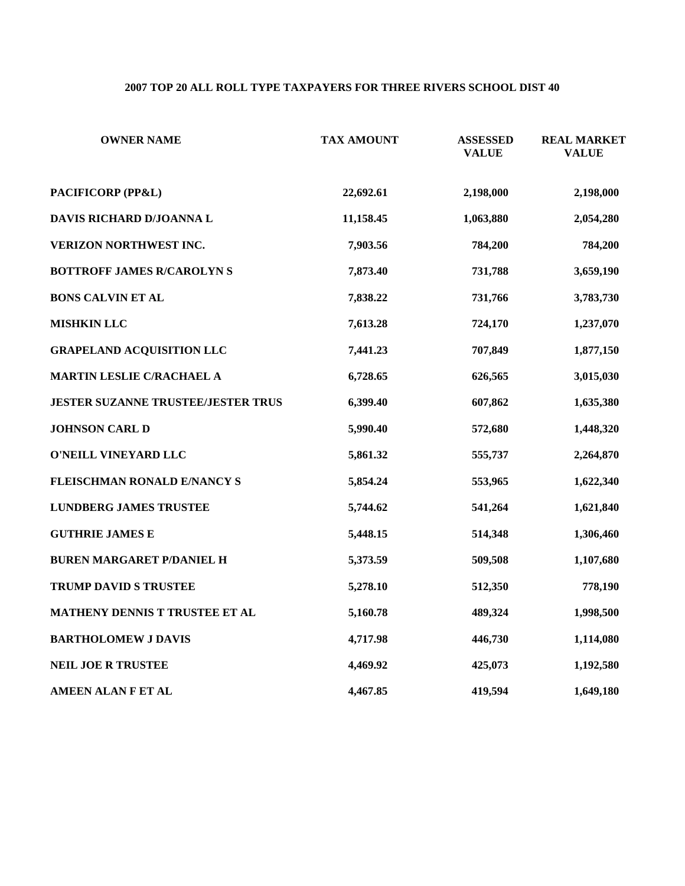### **2007 TOP 20 ALL ROLL TYPE TAXPAYERS FOR THREE RIVERS SCHOOL DIST 40**

| <b>OWNER NAME</b>                         | <b>TAX AMOUNT</b> | <b>ASSESSED</b><br><b>VALUE</b> | <b>REAL MARKET</b><br><b>VALUE</b> |
|-------------------------------------------|-------------------|---------------------------------|------------------------------------|
| PACIFICORP (PP&L)                         | 22,692.61         | 2,198,000                       | 2,198,000                          |
| DAVIS RICHARD D/JOANNA L                  | 11,158.45         | 1,063,880                       | 2,054,280                          |
| VERIZON NORTHWEST INC.                    | 7,903.56          | 784,200                         | 784,200                            |
| <b>BOTTROFF JAMES R/CAROLYN S</b>         | 7,873.40          | 731,788                         | 3,659,190                          |
| <b>BONS CALVIN ET AL</b>                  | 7,838.22          | 731,766                         | 3,783,730                          |
| <b>MISHKIN LLC</b>                        | 7,613.28          | 724,170                         | 1,237,070                          |
| <b>GRAPELAND ACQUISITION LLC</b>          | 7,441.23          | 707,849                         | 1,877,150                          |
| MARTIN LESLIE C/RACHAEL A                 | 6,728.65          | 626,565                         | 3,015,030                          |
| <b>JESTER SUZANNE TRUSTEE/JESTER TRUS</b> | 6,399.40          | 607,862                         | 1,635,380                          |
| <b>JOHNSON CARL D</b>                     | 5,990.40          | 572,680                         | 1,448,320                          |
| O'NEILL VINEYARD LLC                      | 5,861.32          | 555,737                         | 2,264,870                          |
| <b>FLEISCHMAN RONALD E/NANCY S</b>        | 5,854.24          | 553,965                         | 1,622,340                          |
| <b>LUNDBERG JAMES TRUSTEE</b>             | 5,744.62          | 541,264                         | 1,621,840                          |
| <b>GUTHRIE JAMES E</b>                    | 5,448.15          | 514,348                         | 1,306,460                          |
| <b>BUREN MARGARET P/DANIEL H</b>          | 5,373.59          | 509,508                         | 1,107,680                          |
| TRUMP DAVID S TRUSTEE                     | 5,278.10          | 512,350                         | 778,190                            |
| MATHENY DENNIS T TRUSTEE ET AL            | 5,160.78          | 489,324                         | 1,998,500                          |
| <b>BARTHOLOMEW J DAVIS</b>                | 4,717.98          | 446,730                         | 1,114,080                          |
| NEIL JOE R TRUSTEE                        | 4,469.92          | 425,073                         | 1,192,580                          |
| <b>AMEEN ALAN F ET AL</b>                 | 4,467.85          | 419,594                         | 1,649,180                          |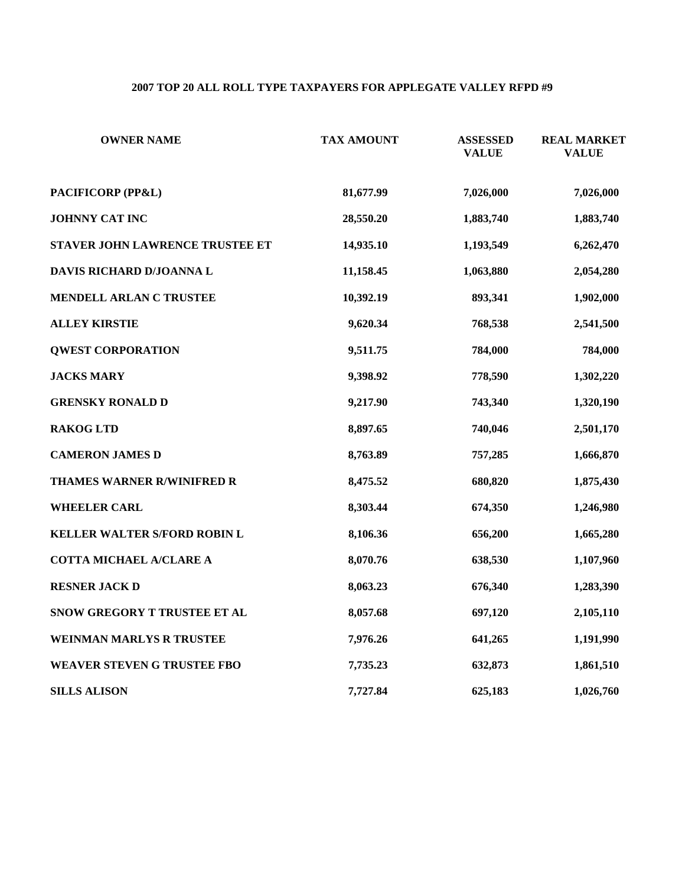# **2007 TOP 20 ALL ROLL TYPE TAXPAYERS FOR APPLEGATE VALLEY RFPD #9**

| <b>OWNER NAME</b>                   | <b>TAX AMOUNT</b> | <b>ASSESSED</b><br><b>VALUE</b> | <b>REAL MARKET</b><br><b>VALUE</b> |
|-------------------------------------|-------------------|---------------------------------|------------------------------------|
| PACIFICORP (PP&L)                   | 81,677.99         | 7,026,000                       | 7,026,000                          |
| <b>JOHNNY CAT INC</b>               | 28,550.20         | 1,883,740                       | 1,883,740                          |
| STAVER JOHN LAWRENCE TRUSTEE ET     | 14,935.10         | 1,193,549                       | 6,262,470                          |
| DAVIS RICHARD D/JOANNA L            | 11,158.45         | 1,063,880                       | 2,054,280                          |
| MENDELL ARLAN C TRUSTEE             | 10,392.19         | 893,341                         | 1,902,000                          |
| <b>ALLEY KIRSTIE</b>                | 9,620.34          | 768,538                         | 2,541,500                          |
| <b>QWEST CORPORATION</b>            | 9,511.75          | 784,000                         | 784,000                            |
| <b>JACKS MARY</b>                   | 9,398.92          | 778,590                         | 1,302,220                          |
| <b>GRENSKY RONALD D</b>             | 9,217.90          | 743,340                         | 1,320,190                          |
| <b>RAKOG LTD</b>                    | 8,897.65          | 740,046                         | 2,501,170                          |
| <b>CAMERON JAMES D</b>              | 8,763.89          | 757,285                         | 1,666,870                          |
| THAMES WARNER R/WINIFRED R          | 8,475.52          | 680,820                         | 1,875,430                          |
| <b>WHEELER CARL</b>                 | 8,303.44          | 674,350                         | 1,246,980                          |
| <b>KELLER WALTER S/FORD ROBIN L</b> | 8,106.36          | 656,200                         | 1,665,280                          |
| COTTA MICHAEL A/CLARE A             | 8,070.76          | 638,530                         | 1,107,960                          |
| <b>RESNER JACK D</b>                | 8,063.23          | 676,340                         | 1,283,390                          |
| SNOW GREGORY T TRUSTEE ET AL        | 8,057.68          | 697,120                         | 2,105,110                          |
| <b>WEINMAN MARLYS R TRUSTEE</b>     | 7,976.26          | 641,265                         | 1,191,990                          |
| <b>WEAVER STEVEN G TRUSTEE FBO</b>  | 7,735.23          | 632,873                         | 1,861,510                          |
| <b>SILLS ALISON</b>                 | 7,727.84          | 625,183                         | 1,026,760                          |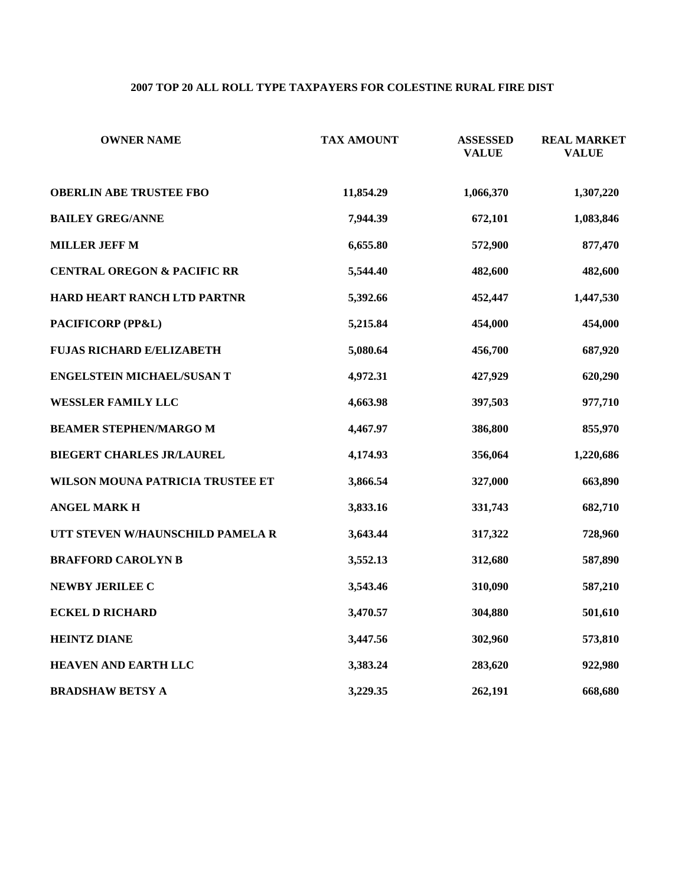#### **2007 TOP 20 ALL ROLL TYPE TAXPAYERS FOR COLESTINE RURAL FIRE DIST**

| <b>OWNER NAME</b>                      | <b>TAX AMOUNT</b> | <b>ASSESSED</b><br><b>VALUE</b> | <b>REAL MARKET</b><br><b>VALUE</b> |
|----------------------------------------|-------------------|---------------------------------|------------------------------------|
| <b>OBERLIN ABE TRUSTEE FBO</b>         | 11,854.29         | 1,066,370                       | 1,307,220                          |
| <b>BAILEY GREG/ANNE</b>                | 7,944.39          | 672,101                         | 1,083,846                          |
| <b>MILLER JEFF M</b>                   | 6,655.80          | 572,900                         | 877,470                            |
| <b>CENTRAL OREGON &amp; PACIFIC RR</b> | 5,544.40          | 482,600                         | 482,600                            |
| HARD HEART RANCH LTD PARTNR            | 5,392.66          | 452,447                         | 1,447,530                          |
| PACIFICORP (PP&L)                      | 5,215.84          | 454,000                         | 454,000                            |
| <b>FUJAS RICHARD E/ELIZABETH</b>       | 5,080.64          | 456,700                         | 687,920                            |
| ENGELSTEIN MICHAEL/SUSAN T             | 4,972.31          | 427,929                         | 620,290                            |
| <b>WESSLER FAMILY LLC</b>              | 4,663.98          | 397,503                         | 977,710                            |
| <b>BEAMER STEPHEN/MARGO M</b>          | 4,467.97          | 386,800                         | 855,970                            |
| <b>BIEGERT CHARLES JR/LAUREL</b>       | 4,174.93          | 356,064                         | 1,220,686                          |
| WILSON MOUNA PATRICIA TRUSTEE ET       | 3,866.54          | 327,000                         | 663,890                            |
| <b>ANGEL MARK H</b>                    | 3,833.16          | 331,743                         | 682,710                            |
| UTT STEVEN W/HAUNSCHILD PAMELA R       | 3,643.44          | 317,322                         | 728,960                            |
| <b>BRAFFORD CAROLYN B</b>              | 3,552.13          | 312,680                         | 587,890                            |
| NEWBY JERILEE C                        | 3,543.46          | 310,090                         | 587,210                            |
| <b>ECKEL D RICHARD</b>                 | 3,470.57          | 304,880                         | 501,610                            |
| <b>HEINTZ DIANE</b>                    | 3,447.56          | 302,960                         | 573,810                            |
| <b>HEAVEN AND EARTH LLC</b>            | 3,383.24          | 283,620                         | 922,980                            |
| <b>BRADSHAW BETSY A</b>                | 3,229.35          | 262,191                         | 668,680                            |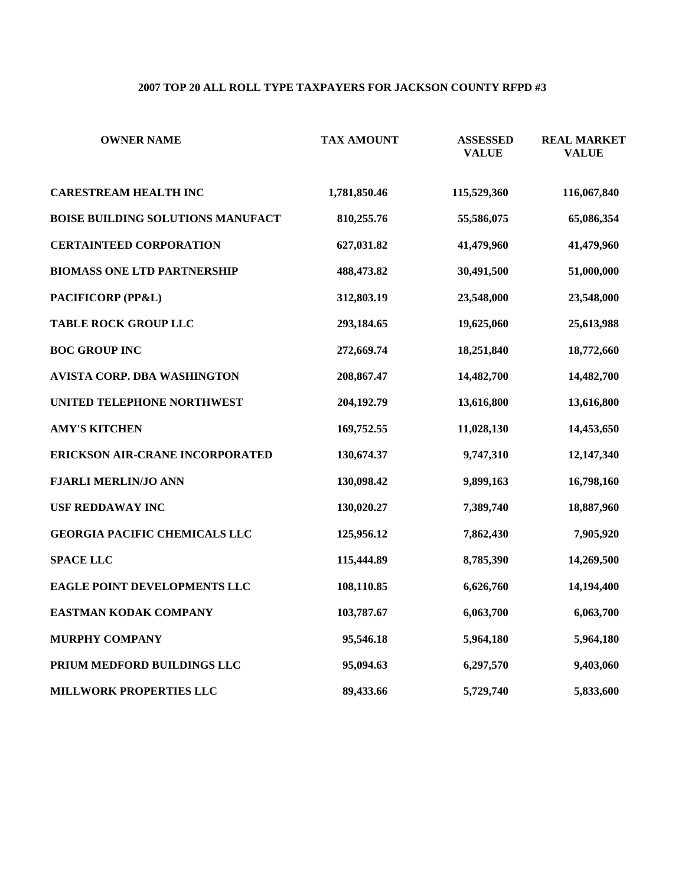# **2007 TOP 20 ALL ROLL TYPE TAXPAYERS FOR JACKSON COUNTY RFPD #3**

| <b>OWNER NAME</b>                        | <b>TAX AMOUNT</b> | <b>ASSESSED</b><br><b>VALUE</b> | <b>REAL MARKET</b><br><b>VALUE</b> |
|------------------------------------------|-------------------|---------------------------------|------------------------------------|
| <b>CARESTREAM HEALTH INC</b>             | 1,781,850.46      | 115,529,360                     | 116,067,840                        |
| <b>BOISE BUILDING SOLUTIONS MANUFACT</b> | 810,255.76        | 55,586,075                      | 65,086,354                         |
| <b>CERTAINTEED CORPORATION</b>           | 627,031.82        | 41,479,960                      | 41,479,960                         |
| <b>BIOMASS ONE LTD PARTNERSHIP</b>       | 488,473.82        | 30,491,500                      | 51,000,000                         |
| PACIFICORP (PP&L)                        | 312,803.19        | 23,548,000                      | 23,548,000                         |
| <b>TABLE ROCK GROUP LLC</b>              | 293,184.65        | 19,625,060                      | 25,613,988                         |
| <b>BOC GROUP INC</b>                     | 272,669.74        | 18,251,840                      | 18,772,660                         |
| AVISTA CORP. DBA WASHINGTON              | 208,867.47        | 14,482,700                      | 14,482,700                         |
| UNITED TELEPHONE NORTHWEST               | 204,192.79        | 13,616,800                      | 13,616,800                         |
| <b>AMY'S KITCHEN</b>                     | 169,752.55        | 11,028,130                      | 14,453,650                         |
| <b>ERICKSON AIR-CRANE INCORPORATED</b>   | 130,674.37        | 9,747,310                       | 12,147,340                         |
| <b>FJARLI MERLIN/JO ANN</b>              | 130,098.42        | 9,899,163                       | 16,798,160                         |
| <b>USF REDDAWAY INC</b>                  | 130,020.27        | 7,389,740                       | 18,887,960                         |
| <b>GEORGIA PACIFIC CHEMICALS LLC</b>     | 125,956.12        | 7,862,430                       | 7,905,920                          |
| <b>SPACE LLC</b>                         | 115,444.89        | 8,785,390                       | 14,269,500                         |
| EAGLE POINT DEVELOPMENTS LLC             | 108,110.85        | 6,626,760                       | 14,194,400                         |
| EASTMAN KODAK COMPANY                    | 103,787.67        | 6,063,700                       | 6,063,700                          |
| MURPHY COMPANY                           | 95,546.18         | 5,964,180                       | 5,964,180                          |
| PRIUM MEDFORD BUILDINGS LLC              | 95,094.63         | 6,297,570                       | 9,403,060                          |
| MILLWORK PROPERTIES LLC                  | 89,433.66         | 5,729,740                       | 5,833,600                          |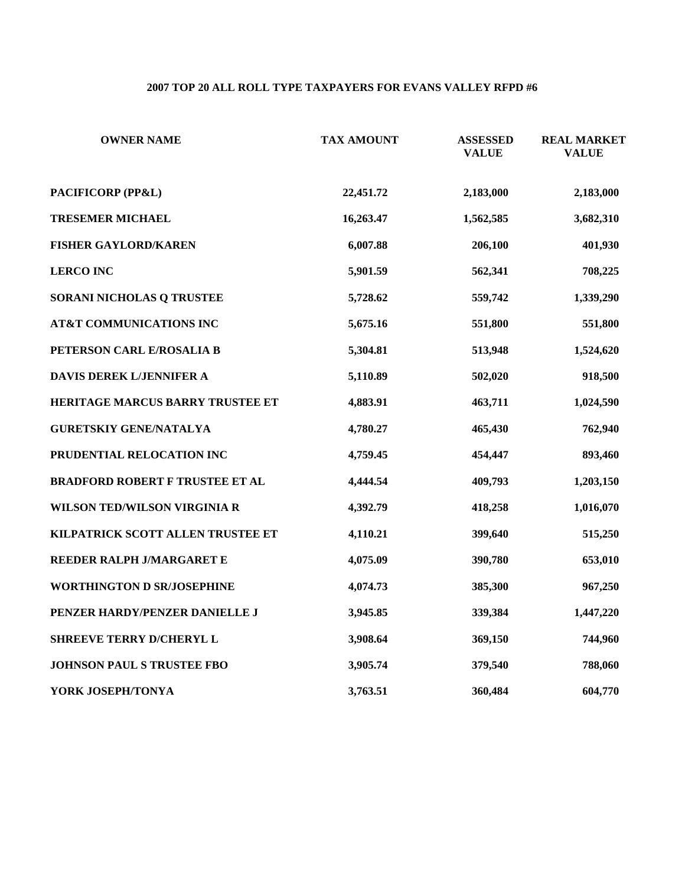# **2007 TOP 20 ALL ROLL TYPE TAXPAYERS FOR EVANS VALLEY RFPD #6**

| <b>OWNER NAME</b>                      | <b>TAX AMOUNT</b> | <b>ASSESSED</b><br><b>VALUE</b> | <b>REAL MARKET</b><br><b>VALUE</b> |
|----------------------------------------|-------------------|---------------------------------|------------------------------------|
| PACIFICORP (PP&L)                      | 22,451.72         | 2,183,000                       | 2,183,000                          |
| <b>TRESEMER MICHAEL</b>                | 16,263.47         | 1,562,585                       | 3,682,310                          |
| <b>FISHER GAYLORD/KAREN</b>            | 6,007.88          | 206,100                         | 401,930                            |
| <b>LERCO INC</b>                       | 5,901.59          | 562,341                         | 708,225                            |
| SORANI NICHOLAS Q TRUSTEE              | 5,728.62          | 559,742                         | 1,339,290                          |
| AT&T COMMUNICATIONS INC                | 5,675.16          | 551,800                         | 551,800                            |
| PETERSON CARL E/ROSALIA B              | 5,304.81          | 513,948                         | 1,524,620                          |
| DAVIS DEREK L/JENNIFER A               | 5,110.89          | 502,020                         | 918,500                            |
| HERITAGE MARCUS BARRY TRUSTEE ET       | 4,883.91          | 463,711                         | 1,024,590                          |
| <b>GURETSKIY GENE/NATALYA</b>          | 4,780.27          | 465,430                         | 762,940                            |
| PRUDENTIAL RELOCATION INC              | 4,759.45          | 454,447                         | 893,460                            |
| <b>BRADFORD ROBERT F TRUSTEE ET AL</b> | 4,444.54          | 409,793                         | 1,203,150                          |
| WILSON TED/WILSON VIRGINIA R           | 4,392.79          | 418,258                         | 1,016,070                          |
| KILPATRICK SCOTT ALLEN TRUSTEE ET      | 4,110.21          | 399,640                         | 515,250                            |
| REEDER RALPH J/MARGARET E              | 4,075.09          | 390,780                         | 653,010                            |
| <b>WORTHINGTON D SR/JOSEPHINE</b>      | 4,074.73          | 385,300                         | 967,250                            |
| PENZER HARDY/PENZER DANIELLE J         | 3,945.85          | 339,384                         | 1,447,220                          |
| SHREEVE TERRY D/CHERYL L               | 3,908.64          | 369,150                         | 744,960                            |
| JOHNSON PAUL S TRUSTEE FBO             | 3,905.74          | 379,540                         | 788,060                            |
| YORK JOSEPH/TONYA                      | 3,763.51          | 360,484                         | 604,770                            |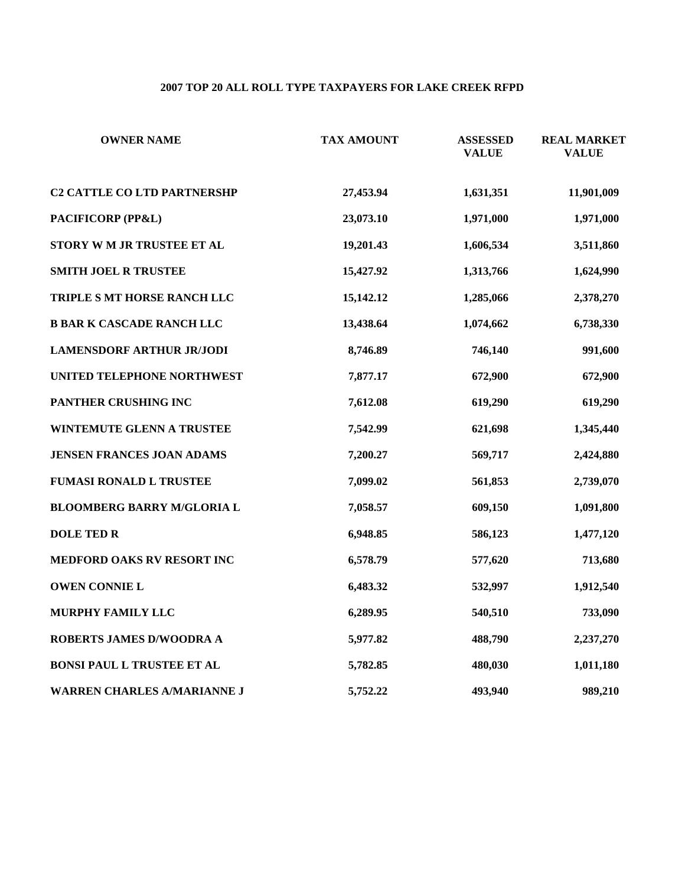# **2007 TOP 20 ALL ROLL TYPE TAXPAYERS FOR LAKE CREEK RFPD**

| <b>OWNER NAME</b>                  | <b>TAX AMOUNT</b> | <b>ASSESSED</b><br><b>VALUE</b> | <b>REAL MARKET</b><br><b>VALUE</b> |
|------------------------------------|-------------------|---------------------------------|------------------------------------|
| <b>C2 CATTLE CO LTD PARTNERSHP</b> | 27,453.94         | 1,631,351                       | 11,901,009                         |
| PACIFICORP (PP&L)                  | 23,073.10         | 1,971,000                       | 1,971,000                          |
| STORY WM JR TRUSTEE ET AL          | 19,201.43         | 1,606,534                       | 3,511,860                          |
| <b>SMITH JOEL R TRUSTEE</b>        | 15,427.92         | 1,313,766                       | 1,624,990                          |
| TRIPLE S MT HORSE RANCH LLC        | 15,142.12         | 1,285,066                       | 2,378,270                          |
| <b>B BAR K CASCADE RANCH LLC</b>   | 13,438.64         | 1,074,662                       | 6,738,330                          |
| <b>LAMENSDORF ARTHUR JR/JODI</b>   | 8,746.89          | 746,140                         | 991,600                            |
| UNITED TELEPHONE NORTHWEST         | 7,877.17          | 672,900                         | 672,900                            |
| PANTHER CRUSHING INC               | 7,612.08          | 619,290                         | 619,290                            |
| <b>WINTEMUTE GLENN A TRUSTEE</b>   | 7,542.99          | 621,698                         | 1,345,440                          |
| <b>JENSEN FRANCES JOAN ADAMS</b>   | 7,200.27          | 569,717                         | 2,424,880                          |
| <b>FUMASI RONALD L TRUSTEE</b>     | 7,099.02          | 561,853                         | 2,739,070                          |
| <b>BLOOMBERG BARRY M/GLORIA L</b>  | 7,058.57          | 609,150                         | 1,091,800                          |
| <b>DOLE TED R</b>                  | 6,948.85          | 586,123                         | 1,477,120                          |
| MEDFORD OAKS RV RESORT INC         | 6,578.79          | 577,620                         | 713,680                            |
| <b>OWEN CONNIE L</b>               | 6,483.32          | 532,997                         | 1,912,540                          |
| MURPHY FAMILY LLC                  | 6,289.95          | 540,510                         | 733,090                            |
| ROBERTS JAMES D/WOODRA A           | 5,977.82          | 488,790                         | 2,237,270                          |
| BONSI PAUL L TRUSTEE ET AL         | 5,782.85          | 480,030                         | 1,011,180                          |
| <b>WARREN CHARLES A/MARIANNE J</b> | 5,752.22          | 493,940                         | 989,210                            |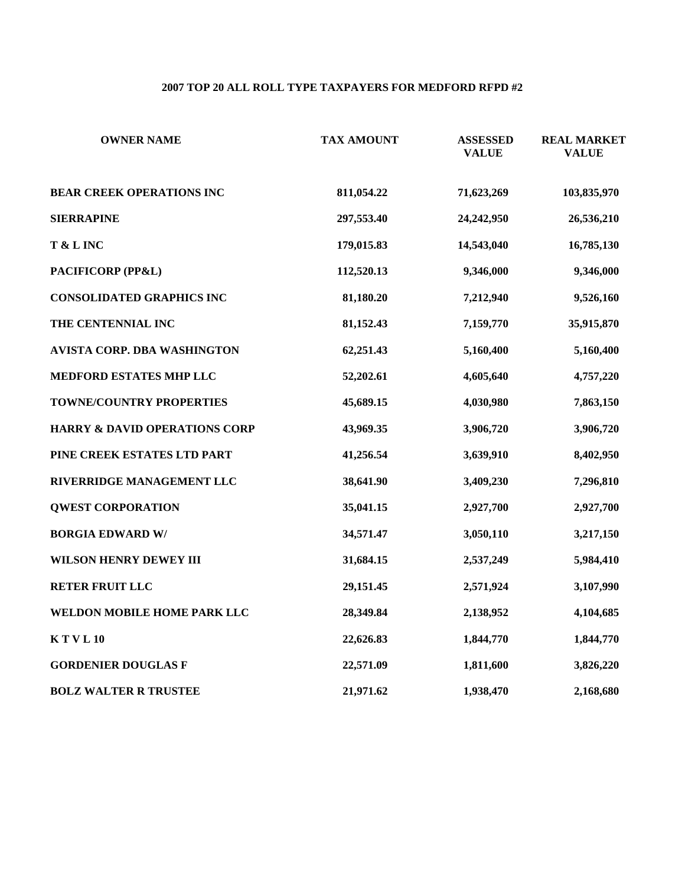# **2007 TOP 20 ALL ROLL TYPE TAXPAYERS FOR MEDFORD RFPD #2**

| <b>OWNER NAME</b>                        | <b>TAX AMOUNT</b> | <b>ASSESSED</b><br><b>VALUE</b> | <b>REAL MARKET</b><br><b>VALUE</b> |
|------------------------------------------|-------------------|---------------------------------|------------------------------------|
| <b>BEAR CREEK OPERATIONS INC</b>         | 811,054.22        | 71,623,269                      | 103,835,970                        |
| <b>SIERRAPINE</b>                        | 297,553.40        | 24,242,950                      | 26,536,210                         |
| T & L INC                                | 179,015.83        | 14,543,040                      | 16,785,130                         |
| PACIFICORP (PP&L)                        | 112,520.13        | 9,346,000                       | 9,346,000                          |
| <b>CONSOLIDATED GRAPHICS INC</b>         | 81,180.20         | 7,212,940                       | 9,526,160                          |
| THE CENTENNIAL INC                       | 81,152.43         | 7,159,770                       | 35,915,870                         |
| AVISTA CORP. DBA WASHINGTON              | 62,251.43         | 5,160,400                       | 5,160,400                          |
| MEDFORD ESTATES MHP LLC                  | 52,202.61         | 4,605,640                       | 4,757,220                          |
| TOWNE/COUNTRY PROPERTIES                 | 45,689.15         | 4,030,980                       | 7,863,150                          |
| <b>HARRY &amp; DAVID OPERATIONS CORP</b> | 43,969.35         | 3,906,720                       | 3,906,720                          |
| PINE CREEK ESTATES LTD PART              | 41,256.54         | 3,639,910                       | 8,402,950                          |
| RIVERRIDGE MANAGEMENT LLC                | 38,641.90         | 3,409,230                       | 7,296,810                          |
| <b>QWEST CORPORATION</b>                 | 35,041.15         | 2,927,700                       | 2,927,700                          |
| <b>BORGIA EDWARD W/</b>                  | 34,571.47         | 3,050,110                       | 3,217,150                          |
| WILSON HENRY DEWEY III                   | 31,684.15         | 2,537,249                       | 5,984,410                          |
| <b>RETER FRUIT LLC</b>                   | 29,151.45         | 2,571,924                       | 3,107,990                          |
| WELDON MOBILE HOME PARK LLC              | 28,349.84         | 2,138,952                       | 4,104,685                          |
| K T V L 10                               | 22,626.83         | 1,844,770                       | 1,844,770                          |
| <b>GORDENIER DOUGLAS F</b>               | 22,571.09         | 1,811,600                       | 3,826,220                          |
| <b>BOLZ WALTER R TRUSTEE</b>             | 21,971.62         | 1,938,470                       | 2,168,680                          |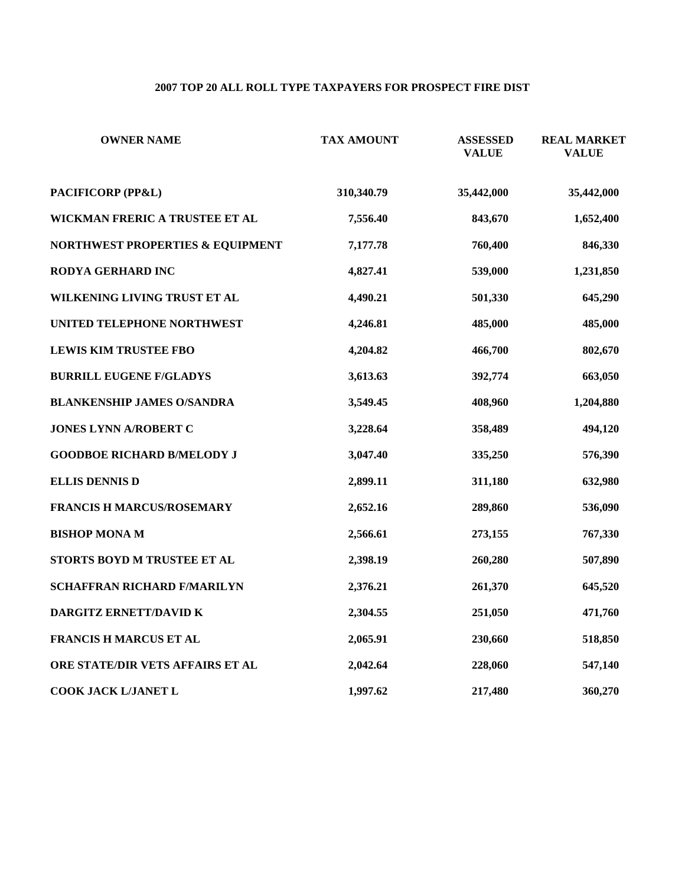# **2007 TOP 20 ALL ROLL TYPE TAXPAYERS FOR PROSPECT FIRE DIST**

| <b>OWNER NAME</b>                 | <b>TAX AMOUNT</b> | <b>ASSESSED</b><br><b>VALUE</b> | <b>REAL MARKET</b><br><b>VALUE</b> |
|-----------------------------------|-------------------|---------------------------------|------------------------------------|
| PACIFICORP (PP&L)                 | 310,340.79        | 35,442,000                      | 35,442,000                         |
| WICKMAN FRERIC A TRUSTEE ET AL    | 7,556.40          | 843,670                         | 1,652,400                          |
| NORTHWEST PROPERTIES & EQUIPMENT  | 7,177.78          | 760,400                         | 846,330                            |
| RODYA GERHARD INC                 | 4,827.41          | 539,000                         | 1,231,850                          |
| WILKENING LIVING TRUST ET AL      | 4,490.21          | 501,330                         | 645,290                            |
| UNITED TELEPHONE NORTHWEST        | 4,246.81          | 485,000                         | 485,000                            |
| <b>LEWIS KIM TRUSTEE FBO</b>      | 4,204.82          | 466,700                         | 802,670                            |
| <b>BURRILL EUGENE F/GLADYS</b>    | 3,613.63          | 392,774                         | 663,050                            |
| <b>BLANKENSHIP JAMES O/SANDRA</b> | 3,549.45          | 408,960                         | 1,204,880                          |
| JONES LYNN A/ROBERT C             | 3,228.64          | 358,489                         | 494,120                            |
| <b>GOODBOE RICHARD B/MELODY J</b> | 3,047.40          | 335,250                         | 576,390                            |
| <b>ELLIS DENNIS D</b>             | 2,899.11          | 311,180                         | 632,980                            |
| <b>FRANCIS H MARCUS/ROSEMARY</b>  | 2,652.16          | 289,860                         | 536,090                            |
| <b>BISHOP MONA M</b>              | 2,566.61          | 273,155                         | 767,330                            |
| STORTS BOYD M TRUSTEE ET AL       | 2,398.19          | 260,280                         | 507,890                            |
| SCHAFFRAN RICHARD F/MARILYN       | 2,376.21          | 261,370                         | 645,520                            |
| DARGITZ ERNETT/DAVID K            | 2,304.55          | 251,050                         | 471,760                            |
| FRANCIS H MARCUS ET AL            | 2,065.91          | 230,660                         | 518,850                            |
| ORE STATE/DIR VETS AFFAIRS ET AL  | 2,042.64          | 228,060                         | 547,140                            |
| COOK JACK L/JANET L               | 1,997.62          | 217,480                         | 360,270                            |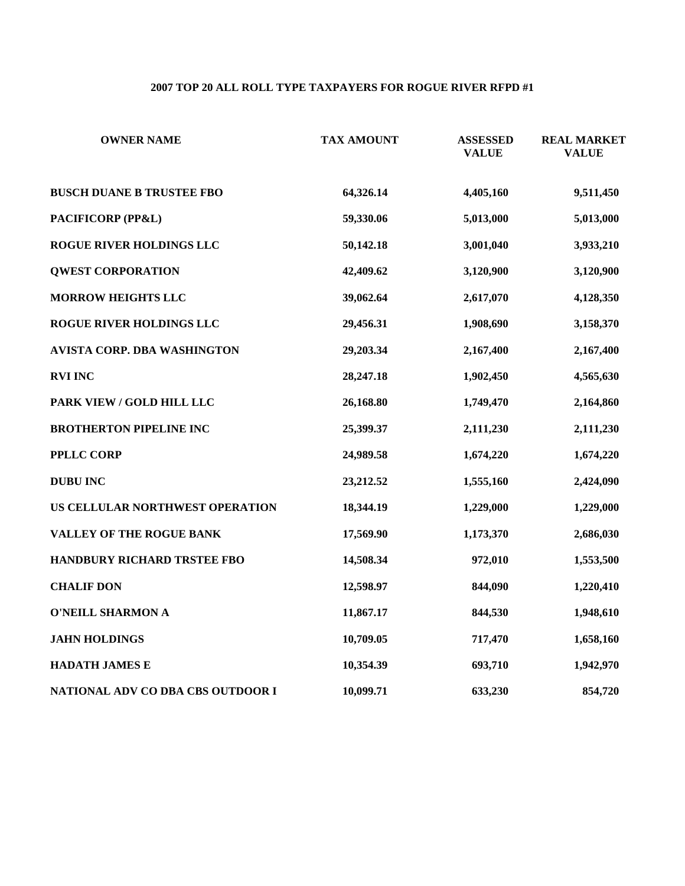# **2007 TOP 20 ALL ROLL TYPE TAXPAYERS FOR ROGUE RIVER RFPD #1**

| <b>OWNER NAME</b>                  | <b>TAX AMOUNT</b> | <b>ASSESSED</b><br><b>VALUE</b> | <b>REAL MARKET</b><br><b>VALUE</b> |
|------------------------------------|-------------------|---------------------------------|------------------------------------|
| <b>BUSCH DUANE B TRUSTEE FBO</b>   | 64,326.14         | 4,405,160                       | 9,511,450                          |
| PACIFICORP (PP&L)                  | 59,330.06         | 5,013,000                       | 5,013,000                          |
| ROGUE RIVER HOLDINGS LLC           | 50,142.18         | 3,001,040                       | 3,933,210                          |
| <b>QWEST CORPORATION</b>           | 42,409.62         | 3,120,900                       | 3,120,900                          |
| <b>MORROW HEIGHTS LLC</b>          | 39,062.64         | 2,617,070                       | 4,128,350                          |
| ROGUE RIVER HOLDINGS LLC           | 29,456.31         | 1,908,690                       | 3,158,370                          |
| AVISTA CORP. DBA WASHINGTON        | 29,203.34         | 2,167,400                       | 2,167,400                          |
| <b>RVI INC</b>                     | 28,247.18         | 1,902,450                       | 4,565,630                          |
| PARK VIEW / GOLD HILL LLC          | 26,168.80         | 1,749,470                       | 2,164,860                          |
| <b>BROTHERTON PIPELINE INC</b>     | 25,399.37         | 2,111,230                       | 2,111,230                          |
| <b>PPLLC CORP</b>                  | 24,989.58         | 1,674,220                       | 1,674,220                          |
| <b>DUBU INC</b>                    | 23,212.52         | 1,555,160                       | 2,424,090                          |
| US CELLULAR NORTHWEST OPERATION    | 18,344.19         | 1,229,000                       | 1,229,000                          |
| VALLEY OF THE ROGUE BANK           | 17,569.90         | 1,173,370                       | 2,686,030                          |
| <b>HANDBURY RICHARD TRSTEE FBO</b> | 14,508.34         | 972,010                         | 1,553,500                          |
| <b>CHALIF DON</b>                  | 12,598.97         | 844,090                         | 1,220,410                          |
| <b>O'NEILL SHARMON A</b>           | 11,867.17         | 844,530                         | 1,948,610                          |
| <b>JAHN HOLDINGS</b>               | 10,709.05         | 717,470                         | 1,658,160                          |
| <b>HADATH JAMES E</b>              | 10,354.39         | 693,710                         | 1,942,970                          |
| NATIONAL ADV CO DBA CBS OUTDOOR I  | 10,099.71         | 633,230                         | 854,720                            |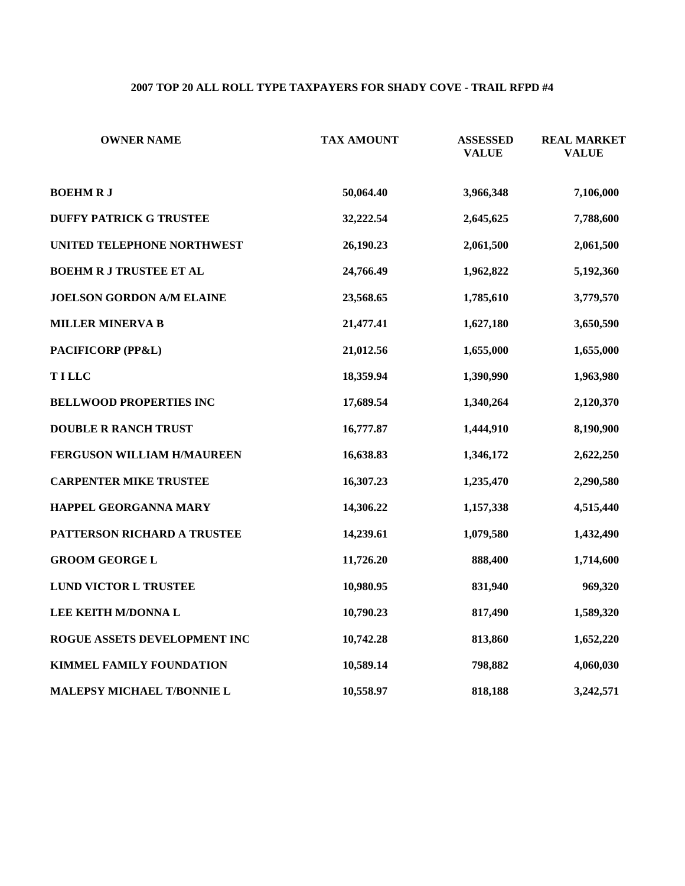## **2007 TOP 20 ALL ROLL TYPE TAXPAYERS FOR SHADY COVE - TRAIL RFPD #4**

| <b>OWNER NAME</b>              | <b>TAX AMOUNT</b> | <b>ASSESSED</b><br><b>VALUE</b> | <b>REAL MARKET</b><br><b>VALUE</b> |
|--------------------------------|-------------------|---------------------------------|------------------------------------|
| <b>BOEHMRJ</b>                 | 50,064.40         | 3,966,348                       | 7,106,000                          |
| <b>DUFFY PATRICK G TRUSTEE</b> | 32,222.54         | 2,645,625                       | 7,788,600                          |
| UNITED TELEPHONE NORTHWEST     | 26,190.23         | 2,061,500                       | 2,061,500                          |
| <b>BOEHM R J TRUSTEE ET AL</b> | 24,766.49         | 1,962,822                       | 5,192,360                          |
| JOELSON GORDON A/M ELAINE      | 23,568.65         | 1,785,610                       | 3,779,570                          |
| <b>MILLER MINERVA B</b>        | 21,477.41         | 1,627,180                       | 3,650,590                          |
| PACIFICORP (PP&L)              | 21,012.56         | 1,655,000                       | 1,655,000                          |
| <b>TILLC</b>                   | 18,359.94         | 1,390,990                       | 1,963,980                          |
| <b>BELLWOOD PROPERTIES INC</b> | 17,689.54         | 1,340,264                       | 2,120,370                          |
| <b>DOUBLE R RANCH TRUST</b>    | 16,777.87         | 1,444,910                       | 8,190,900                          |
| FERGUSON WILLIAM H/MAUREEN     | 16,638.83         | 1,346,172                       | 2,622,250                          |
| <b>CARPENTER MIKE TRUSTEE</b>  | 16,307.23         | 1,235,470                       | 2,290,580                          |
| HAPPEL GEORGANNA MARY          | 14,306.22         | 1,157,338                       | 4,515,440                          |
| PATTERSON RICHARD A TRUSTEE    | 14,239.61         | 1,079,580                       | 1,432,490                          |
| <b>GROOM GEORGE L</b>          | 11,726.20         | 888,400                         | 1,714,600                          |
| LUND VICTOR L TRUSTEE          | 10,980.95         | 831,940                         | 969,320                            |
| LEE KEITH M/DONNA L            | 10,790.23         | 817,490                         | 1,589,320                          |
| ROGUE ASSETS DEVELOPMENT INC   | 10,742.28         | 813,860                         | 1,652,220                          |
| KIMMEL FAMILY FOUNDATION       | 10,589.14         | 798,882                         | 4,060,030                          |
| MALEPSY MICHAEL T/BONNIE L     | 10,558.97         | 818,188                         | 3,242,571                          |